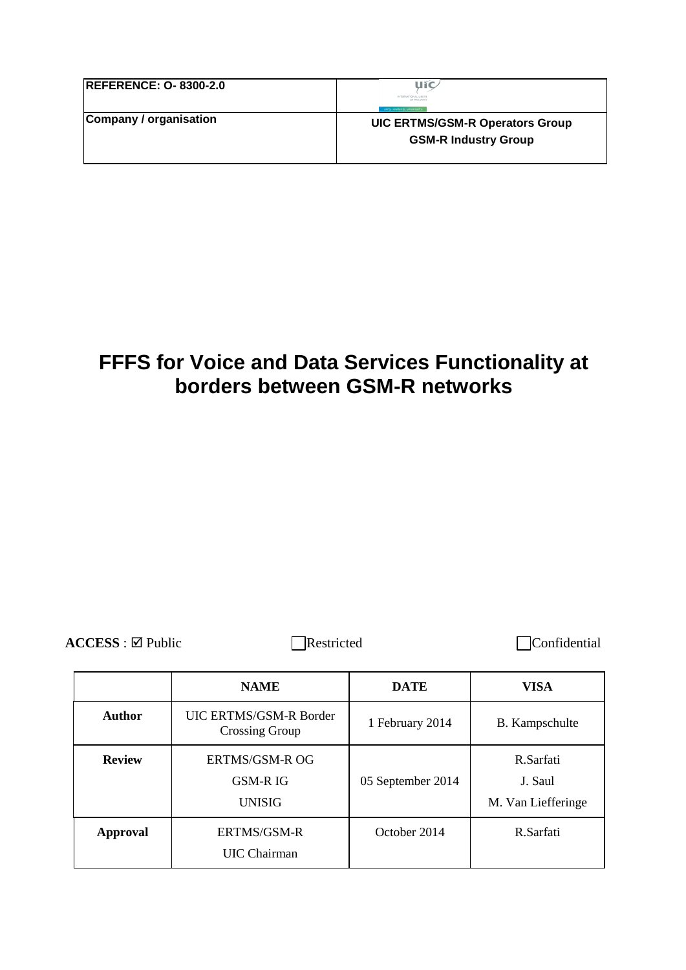| <b>REFERENCE: 0-8300-2.0</b> | uíc                                           |
|------------------------------|-----------------------------------------------|
|                              | OF BAILWAY<br>unity, solidarity, universality |
| Company / organisation       | <b>UIC ERTMS/GSM-R Operators Group</b>        |
|                              | <b>GSM-R Industry Group</b>                   |
|                              |                                               |

## **FFFS for Voice and Data Services Functionality at borders between GSM-R networks**

ACCESS : ⊠ Public Restricted Confidential

|                 | <b>NAME</b>                                                        | <b>DATE</b>                                                     | <b>VISA</b>           |
|-----------------|--------------------------------------------------------------------|-----------------------------------------------------------------|-----------------------|
| <b>Author</b>   | <b>UIC ERTMS/GSM-R Border</b><br>1 February 2014<br>Crossing Group |                                                                 | <b>B.</b> Kampschulte |
| <b>Review</b>   | ERTMS/GSM-R OG<br><b>GSM-RIG</b><br><b>UNISIG</b>                  | R.Sarfati<br>05 September 2014<br>J. Saul<br>M. Van Liefferinge |                       |
| <b>Approval</b> | ERTMS/GSM-R<br><b>UIC</b> Chairman                                 | October 2014                                                    | R.Sarfati             |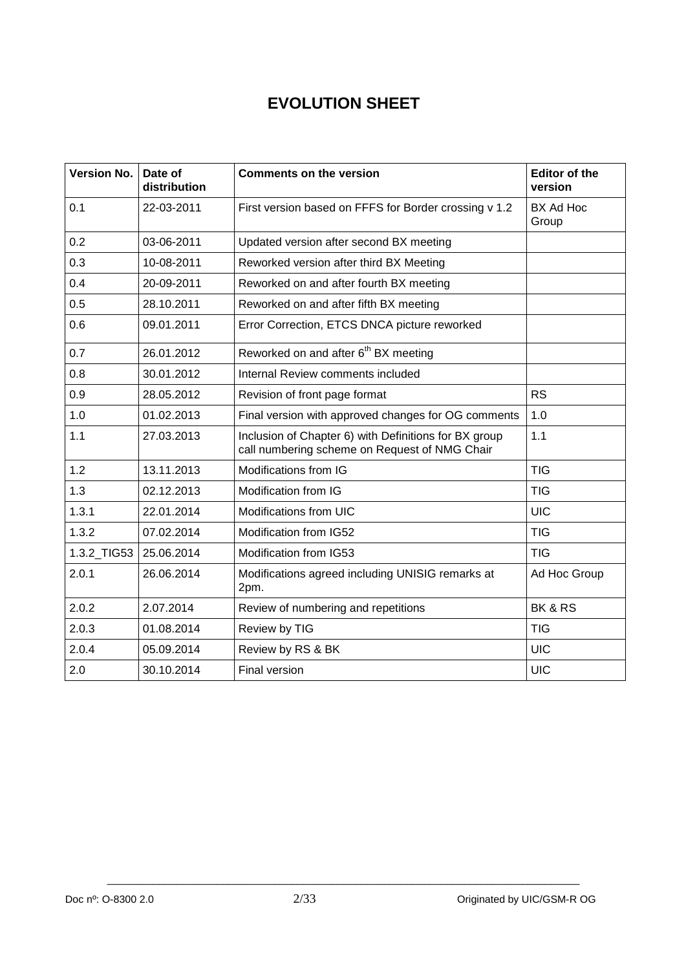### **EVOLUTION SHEET**

| <b>Version No.</b> | Date of<br>distribution | <b>Comments on the version</b>                                                                         | <b>Editor of the</b><br>version |
|--------------------|-------------------------|--------------------------------------------------------------------------------------------------------|---------------------------------|
| 0.1                | 22-03-2011              | First version based on FFFS for Border crossing v 1.2                                                  | BX Ad Hoc<br>Group              |
| 0.2                | 03-06-2011              | Updated version after second BX meeting                                                                |                                 |
| 0.3                | 10-08-2011              | Reworked version after third BX Meeting                                                                |                                 |
| 0.4                | 20-09-2011              | Reworked on and after fourth BX meeting                                                                |                                 |
| 0.5                | 28.10.2011              | Reworked on and after fifth BX meeting                                                                 |                                 |
| 0.6                | 09.01.2011              | Error Correction, ETCS DNCA picture reworked                                                           |                                 |
| 0.7                | 26.01.2012              | Reworked on and after 6 <sup>th</sup> BX meeting                                                       |                                 |
| 0.8                | 30.01.2012              | Internal Review comments included                                                                      |                                 |
| 0.9                | 28.05.2012              | Revision of front page format                                                                          | <b>RS</b>                       |
| 1.0                | 01.02.2013              | Final version with approved changes for OG comments                                                    | 1.0                             |
| 1.1                | 27.03.2013              | Inclusion of Chapter 6) with Definitions for BX group<br>call numbering scheme on Request of NMG Chair | 1.1                             |
| 1.2                | 13.11.2013              | Modifications from IG                                                                                  | <b>TIG</b>                      |
| 1.3                | 02.12.2013              | Modification from IG                                                                                   | <b>TIG</b>                      |
| 1.3.1              | 22.01.2014              | <b>Modifications from UIC</b>                                                                          | <b>UIC</b>                      |
| 1.3.2              | 07.02.2014              | <b>Modification from IG52</b>                                                                          | <b>TIG</b>                      |
| 1.3.2_TIG53        | 25.06.2014              | Modification from IG53                                                                                 | <b>TIG</b>                      |
| 2.0.1              | 26.06.2014              | Modifications agreed including UNISIG remarks at<br>2pm.                                               | Ad Hoc Group                    |
| 2.0.2              | 2.07.2014               | Review of numbering and repetitions                                                                    | BK & RS                         |
| 2.0.3              | 01.08.2014              | Review by TIG                                                                                          | <b>TIG</b>                      |
| 2.0.4              | 05.09.2014              | Review by RS & BK                                                                                      | <b>UIC</b>                      |
| 2.0                | 30.10.2014              | <b>Final version</b>                                                                                   | UIC                             |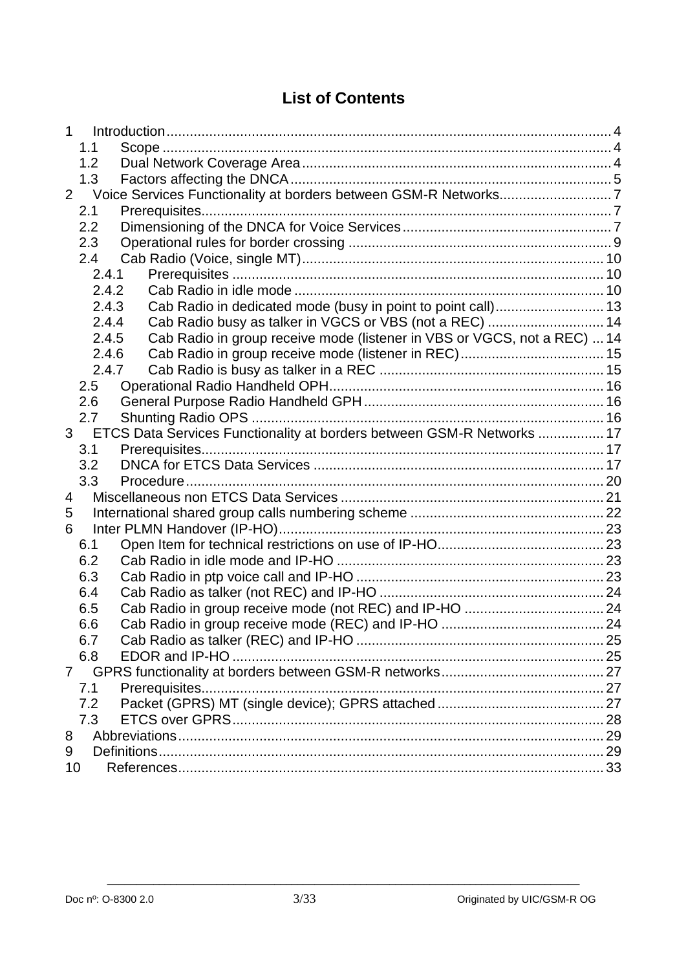### **List of Contents**

| $\mathbf{1}$   |       |                                                                          |  |
|----------------|-------|--------------------------------------------------------------------------|--|
|                | 1.1   |                                                                          |  |
|                | 1.2   |                                                                          |  |
|                | 1.3   |                                                                          |  |
| $\overline{2}$ |       | Voice Services Functionality at borders between GSM-R Networks7          |  |
|                | 2.1   |                                                                          |  |
|                | 2.2   |                                                                          |  |
|                | 2.3   |                                                                          |  |
|                | 2.4   |                                                                          |  |
|                | 2.4.1 |                                                                          |  |
|                | 2.4.2 |                                                                          |  |
|                | 2.4.3 | Cab Radio in dedicated mode (busy in point to point call) 13             |  |
|                | 2.4.4 | Cab Radio busy as talker in VGCS or VBS (not a REC)  14                  |  |
|                | 2.4.5 | Cab Radio in group receive mode (listener in VBS or VGCS, not a REC)  14 |  |
|                | 2.4.6 |                                                                          |  |
|                | 2.4.7 |                                                                          |  |
|                | 2.5   |                                                                          |  |
|                | 2.6   |                                                                          |  |
|                | 2.7   |                                                                          |  |
|                |       | 3 ETCS Data Services Functionality at borders between GSM-R Networks  17 |  |
|                | 3.1   |                                                                          |  |
|                | 3.2   |                                                                          |  |
|                | 3.3   |                                                                          |  |
| 4              |       |                                                                          |  |
| 5              |       |                                                                          |  |
| 6              |       |                                                                          |  |
|                | 6.1   |                                                                          |  |
|                | 6.2   |                                                                          |  |
|                | 6.3   |                                                                          |  |
|                | 6.4   |                                                                          |  |
|                | 6.5   |                                                                          |  |
|                | 6.6   |                                                                          |  |
|                | 6.7   |                                                                          |  |
|                | 6.8   |                                                                          |  |
| $\overline{7}$ |       |                                                                          |  |
|                | 7.1   |                                                                          |  |
|                | 7.2   |                                                                          |  |
|                | 7.3   |                                                                          |  |
| 8              |       |                                                                          |  |
| 9              |       |                                                                          |  |
| 10             |       |                                                                          |  |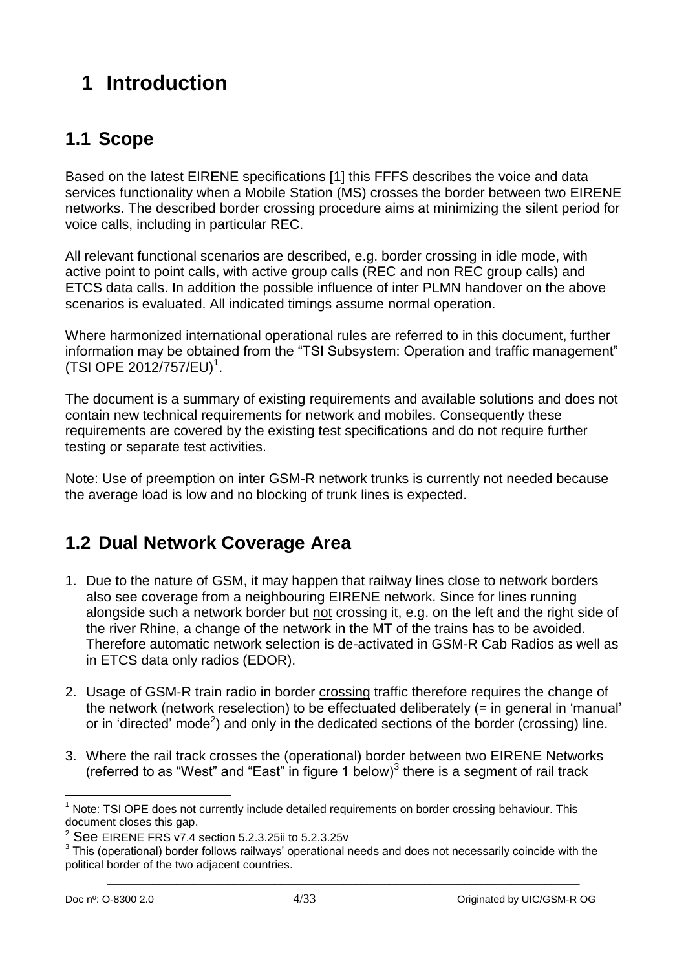# <span id="page-3-0"></span>**1 Introduction**

## <span id="page-3-1"></span>**1.1 Scope**

Based on the latest EIRENE specifications [1] this FFFS describes the voice and data services functionality when a Mobile Station (MS) crosses the border between two EIRENE networks. The described border crossing procedure aims at minimizing the silent period for voice calls, including in particular REC.

All relevant functional scenarios are described, e.g. border crossing in idle mode, with active point to point calls, with active group calls (REC and non REC group calls) and ETCS data calls. In addition the possible influence of inter PLMN handover on the above scenarios is evaluated. All indicated timings assume normal operation.

Where harmonized international operational rules are referred to in this document, further information may be obtained from the "TSI Subsystem: Operation and traffic management"  $(TSI$  OPE 2012/757/EU)<sup>1</sup>.

The document is a summary of existing requirements and available solutions and does not contain new technical requirements for network and mobiles. Consequently these requirements are covered by the existing test specifications and do not require further testing or separate test activities.

Note: Use of preemption on inter GSM-R network trunks is currently not needed because the average load is low and no blocking of trunk lines is expected.

### <span id="page-3-2"></span>**1.2 Dual Network Coverage Area**

- 1. Due to the nature of GSM, it may happen that railway lines close to network borders also see coverage from a neighbouring EIRENE network. Since for lines running alongside such a network border but not crossing it, e.g. on the left and the right side of the river Rhine, a change of the network in the MT of the trains has to be avoided. Therefore automatic network selection is de-activated in GSM-R Cab Radios as well as in ETCS data only radios (EDOR).
- 2. Usage of GSM-R train radio in border crossing traffic therefore requires the change of the network (network reselection) to be effectuated deliberately (= in general in 'manual' or in 'directed' mode<sup>2</sup>) and only in the dedicated sections of the border (crossing) line.
- 3. Where the rail track crosses the (operational) border between two EIRENE Networks (referred to as "West" and "East" in figure 1 below) $3$  there is a segment of rail track

\_\_\_\_\_\_\_\_\_\_\_\_\_\_\_\_\_\_\_\_\_\_\_\_\_\_\_\_\_\_\_\_\_\_\_\_\_\_\_\_\_\_\_\_\_\_\_\_\_\_\_\_\_\_\_\_\_\_\_\_\_\_\_\_\_\_\_\_\_\_\_\_\_\_\_\_\_\_\_\_\_\_

1

 $1$  Note: TSI OPE does not currently include detailed requirements on border crossing behaviour. This document closes this gap.

<sup>2</sup> See EIRENE FRS v7.4 section 5.2.3.25ii to 5.2.3.25v

 $3$  This (operational) border follows railways' operational needs and does not necessarily coincide with the political border of the two adjacent countries.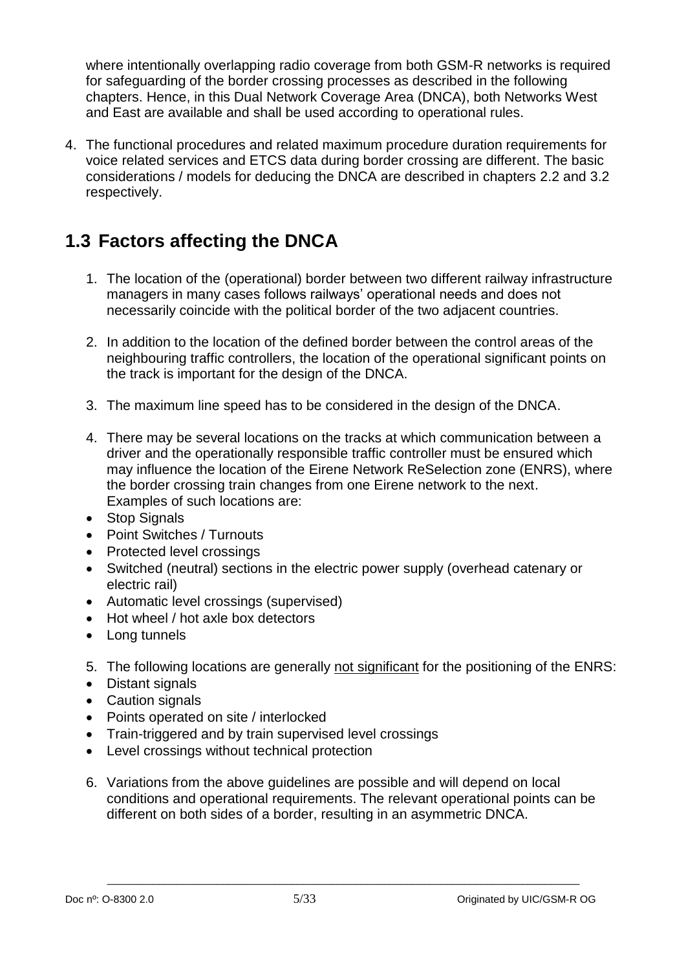where intentionally overlapping radio coverage from both GSM-R networks is required for safeguarding of the border crossing processes as described in the following chapters. Hence, in this Dual Network Coverage Area (DNCA), both Networks West and East are available and shall be used according to operational rules.

4. The functional procedures and related maximum procedure duration requirements for voice related services and ETCS data during border crossing are different. The basic considerations / models for deducing the DNCA are described in chapters [2.2](#page-6-2) and [3.2](#page-16-2) respectively.

## <span id="page-4-0"></span>**1.3 Factors affecting the DNCA**

- 1. The location of the (operational) border between two different railway infrastructure managers in many cases follows railways' operational needs and does not necessarily coincide with the political border of the two adjacent countries.
- 2. In addition to the location of the defined border between the control areas of the neighbouring traffic controllers, the location of the operational significant points on the track is important for the design of the DNCA.
- 3. The maximum line speed has to be considered in the design of the DNCA.
- 4. There may be several locations on the tracks at which communication between a driver and the operationally responsible traffic controller must be ensured which may influence the location of the Eirene Network ReSelection zone (ENRS), where the border crossing train changes from one Eirene network to the next. Examples of such locations are:
- Stop Signals
- Point Switches / Turnouts
- Protected level crossings
- Switched (neutral) sections in the electric power supply (overhead catenary or electric rail)
- Automatic level crossings (supervised)
- Hot wheel / hot axle box detectors
- Long tunnels
- 5. The following locations are generally not significant for the positioning of the ENRS:
- Distant signals
- Caution signals
- Points operated on site / interlocked
- Train-triggered and by train supervised level crossings
- Level crossings without technical protection
- 6. Variations from the above guidelines are possible and will depend on local conditions and operational requirements. The relevant operational points can be different on both sides of a border, resulting in an asymmetric DNCA.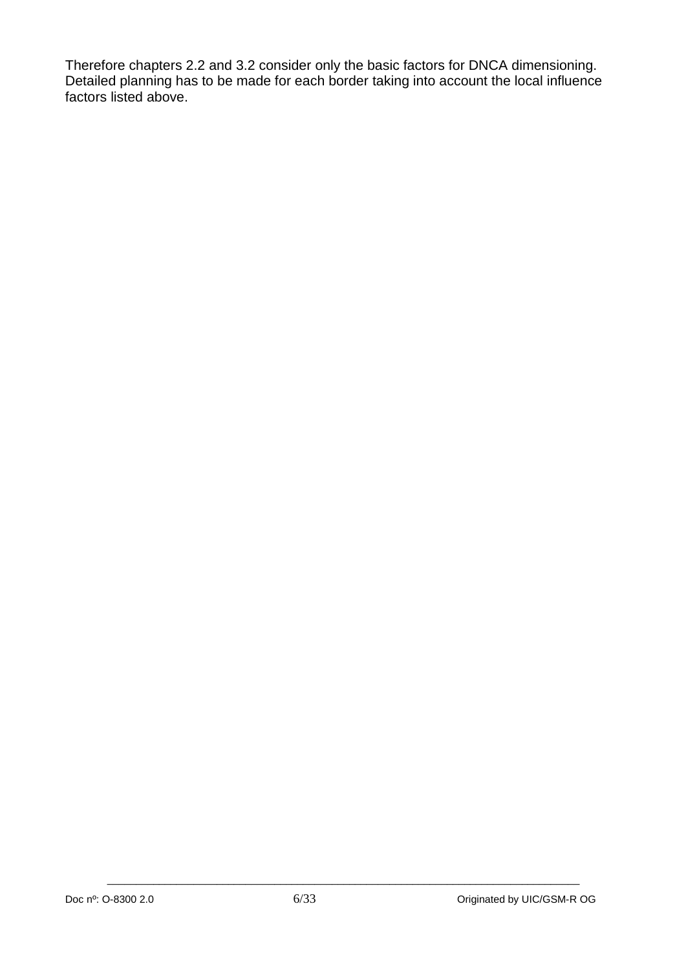Therefore chapters [2.2](#page-6-2) and [3.2](#page-16-2) consider only the basic factors for DNCA dimensioning. Detailed planning has to be made for each border taking into account the local influence factors listed above.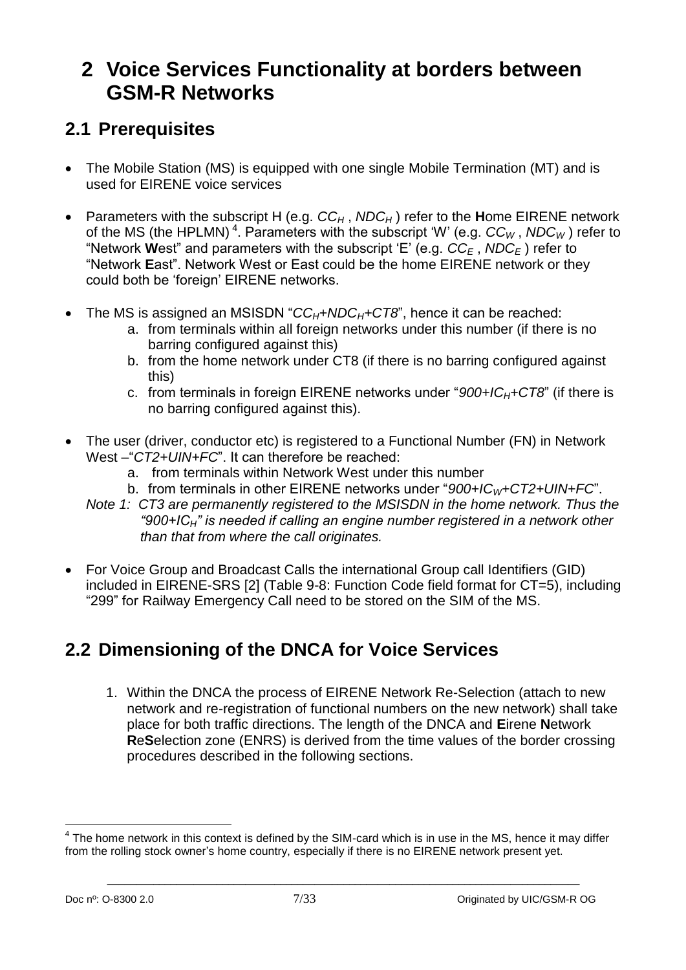## <span id="page-6-0"></span>**2 Voice Services Functionality at borders between GSM-R Networks**

### <span id="page-6-1"></span>**2.1 Prerequisites**

- The Mobile Station (MS) is equipped with one single Mobile Termination (MT) and is used for EIRENE voice services
- Parameters with the subscript H (e.g. *CC<sup>H</sup>* , *NDC<sup>H</sup>* ) refer to the **H**ome EIRENE network of the MS (the HPLMN)<sup>4</sup>. Parameters with the subscript 'W' (e.g.  $CC_W$ , NDC<sub>W</sub>) refer to "Network **W**est" and parameters with the subscript 'E' (e.g. *CC<sup>E</sup>* , *NDC<sup>E</sup>* ) refer to "Network **E**ast". Network West or East could be the home EIRENE network or they could both be 'foreign' EIRENE networks.
- The MS is assigned an MSISDN "*CC<sub>H</sub>+NDC<sub>H</sub>+CT8*", hence it can be reached:
	- a. from terminals within all foreign networks under this number (if there is no barring configured against this)
	- b. from the home network under CT8 (if there is no barring configured against this)
	- c. from terminals in foreign EIRENE networks under "*900+ICH+CT8*" (if there is no barring configured against this).
- The user (driver, conductor etc) is registered to a Functional Number (FN) in Network West –"*CT2+UIN+FC*". It can therefore be reached:
	- a. from terminals within Network West under this number
	- b. from terminals in other EIRENE networks under "*900+ICW+CT2+UIN+FC*".
	- *Note 1: CT3 are permanently registered to the MSISDN in the home network. Thus the "900+ICH" is needed if calling an engine number registered in a network other than that from where the call originates.*
- For Voice Group and Broadcast Calls the international Group call Identifiers (GID) included in EIRENE-SRS [2] (Table 9-8: Function Code field format for CT=5), including "299" for Railway Emergency Call need to be stored on the SIM of the MS.

### <span id="page-6-2"></span>**2.2 Dimensioning of the DNCA for Voice Services**

1. Within the DNCA the process of EIRENE Network Re-Selection (attach to new network and re-registration of functional numbers on the new network) shall take place for both traffic directions. The length of the DNCA and **E**irene **N**etwork **R**e**S**election zone (ENRS) is derived from the time values of the border crossing procedures described in the following sections.

\_\_\_\_\_\_\_\_\_\_\_\_\_\_\_\_\_\_\_\_\_\_\_\_\_\_\_\_\_\_\_\_\_\_\_\_\_\_\_\_\_\_\_\_\_\_\_\_\_\_\_\_\_\_\_\_\_\_\_\_\_\_\_\_\_\_\_\_\_\_\_\_\_\_\_\_\_\_\_\_\_\_

1

 $4$  The home network in this context is defined by the SIM-card which is in use in the MS, hence it may differ from the rolling stock owner's home country, especially if there is no EIRENE network present yet.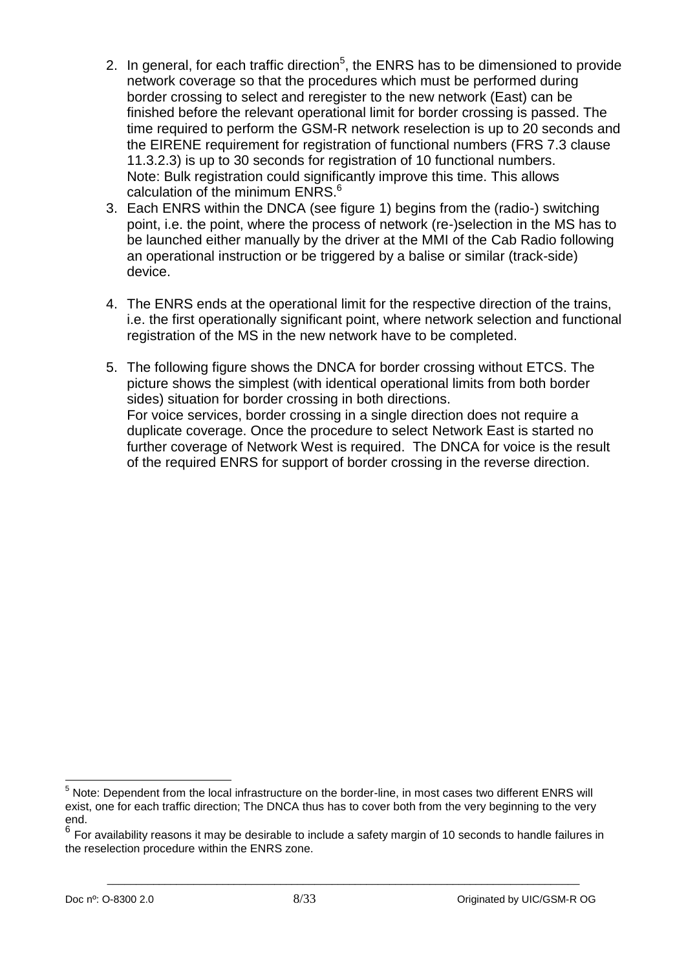- 2. In general, for each traffic direction<sup>5</sup>, the ENRS has to be dimensioned to provide network coverage so that the procedures which must be performed during border crossing to select and reregister to the new network (East) can be finished before the relevant operational limit for border crossing is passed. The time required to perform the GSM-R network reselection is up to 20 seconds and the EIRENE requirement for registration of functional numbers (FRS 7.3 clause 11.3.2.3) is up to 30 seconds for registration of 10 functional numbers. Note: Bulk registration could significantly improve this time. This allows calculation of the minimum ENRS.<sup>6</sup>
- 3. Each ENRS within the DNCA (see figure 1) begins from the (radio-) switching point, i.e. the point, where the process of network (re-)selection in the MS has to be launched either manually by the driver at the MMI of the Cab Radio following an operational instruction or be triggered by a balise or similar (track-side) device.
- 4. The ENRS ends at the operational limit for the respective direction of the trains, i.e. the first operationally significant point, where network selection and functional registration of the MS in the new network have to be completed.
- 5. The following figure shows the DNCA for border crossing without ETCS. The picture shows the simplest (with identical operational limits from both border sides) situation for border crossing in both directions. For voice services, border crossing in a single direction does not require a duplicate coverage. Once the procedure to select Network East is started no further coverage of Network West is required. The DNCA for voice is the result of the required ENRS for support of border crossing in the reverse direction.

<sup>1</sup> <sup>5</sup> Note: Dependent from the local infrastructure on the border-line, in most cases two different ENRS will exist, one for each traffic direction; The DNCA thus has to cover both from the very beginning to the very end.

 $^6$  For availability reasons it may be desirable to include a safety margin of 10 seconds to handle failures in the reselection procedure within the ENRS zone.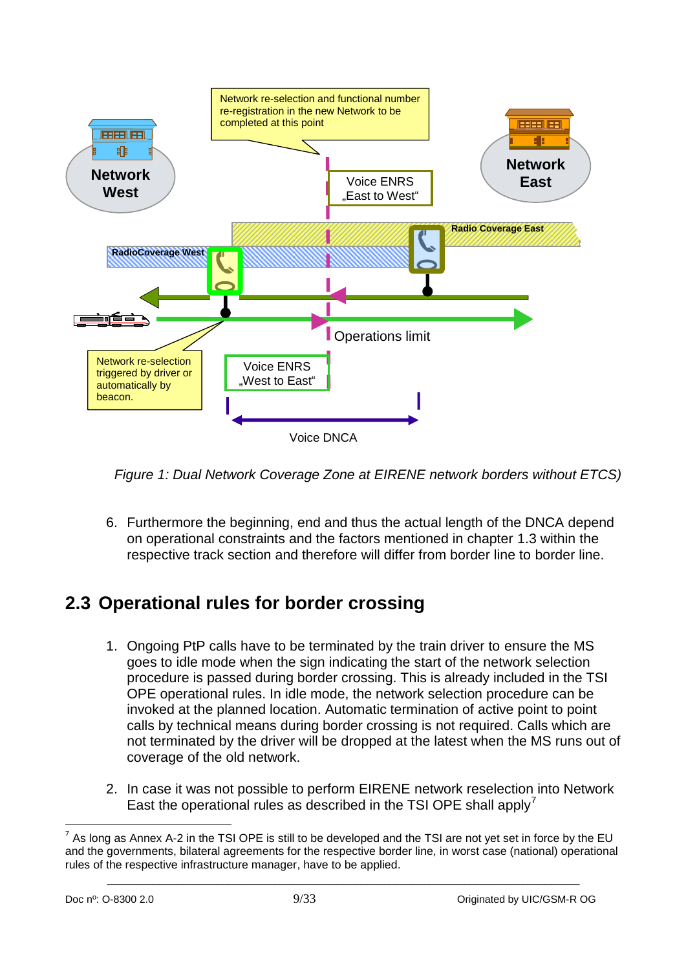

*Figure 1: Dual Network Coverage Zone at EIRENE network borders without ETCS)*

6. Furthermore the beginning, end and thus the actual length of the DNCA depend on operational constraints and the factors mentioned in chapter [1.3](#page-4-0) within the respective track section and therefore will differ from border line to border line.

### <span id="page-8-0"></span>**2.3 Operational rules for border crossing**

- 1. Ongoing PtP calls have to be terminated by the train driver to ensure the MS goes to idle mode when the sign indicating the start of the network selection procedure is passed during border crossing. This is already included in the TSI OPE operational rules. In idle mode, the network selection procedure can be invoked at the planned location. Automatic termination of active point to point calls by technical means during border crossing is not required. Calls which are not terminated by the driver will be dropped at the latest when the MS runs out of coverage of the old network.
- 2. In case it was not possible to perform EIRENE network reselection into Network East the operational rules as described in the TSI OPE shall apply<sup>7</sup>

<sup>1</sup> 7 As long as Annex A-2 in the TSI OPE is still to be developed and the TSI are not yet set in force by the EU and the governments, bilateral agreements for the respective border line, in worst case (national) operational rules of the respective infrastructure manager, have to be applied.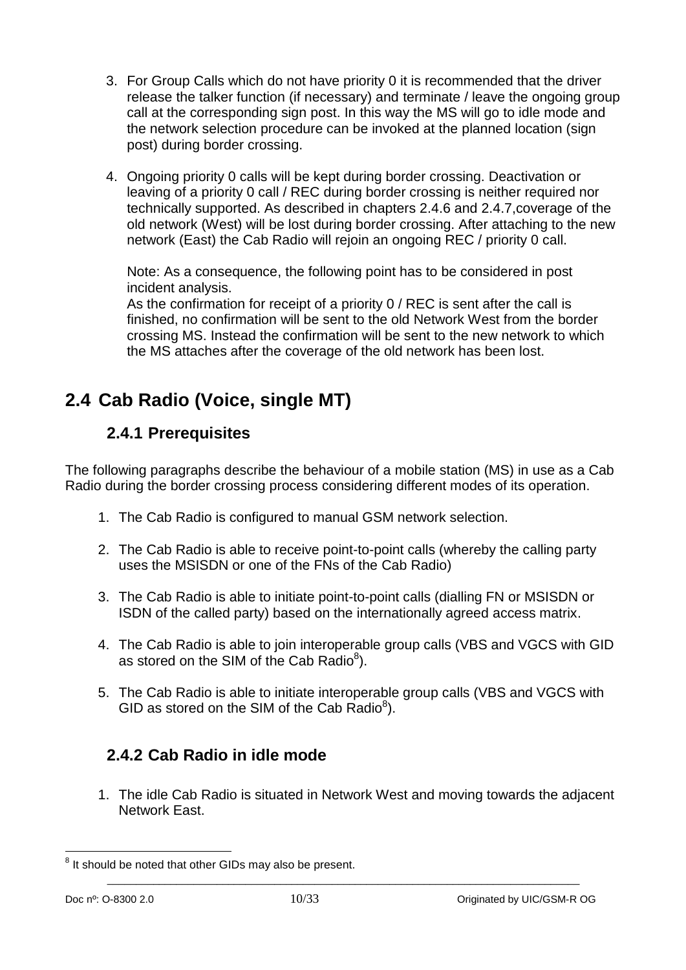- 3. For Group Calls which do not have priority 0 it is recommended that the driver release the talker function (if necessary) and terminate / leave the ongoing group call at the corresponding sign post. In this way the MS will go to idle mode and the network selection procedure can be invoked at the planned location (sign post) during border crossing.
- 4. Ongoing priority 0 calls will be kept during border crossing. Deactivation or leaving of a priority 0 call / REC during border crossing is neither required nor technically supported. As described in chapters [2.4.6](#page-14-0) and [2.4.7,](#page-14-1)coverage of the old network (West) will be lost during border crossing. After attaching to the new network (East) the Cab Radio will rejoin an ongoing REC / priority 0 call.

Note: As a consequence, the following point has to be considered in post incident analysis.

As the confirmation for receipt of a priority 0 / REC is sent after the call is finished, no confirmation will be sent to the old Network West from the border crossing MS. Instead the confirmation will be sent to the new network to which the MS attaches after the coverage of the old network has been lost.

## <span id="page-9-1"></span><span id="page-9-0"></span>**2.4 Cab Radio (Voice, single MT)**

### **2.4.1 Prerequisites**

The following paragraphs describe the behaviour of a mobile station (MS) in use as a Cab Radio during the border crossing process considering different modes of its operation.

- 1. The Cab Radio is configured to manual GSM network selection.
- 2. The Cab Radio is able to receive point-to-point calls (whereby the calling party uses the MSISDN or one of the FNs of the Cab Radio)
- 3. The Cab Radio is able to initiate point-to-point calls (dialling FN or MSISDN or ISDN of the called party) based on the internationally agreed access matrix.
- <span id="page-9-3"></span>4. The Cab Radio is able to join interoperable group calls (VBS and VGCS with GID as stored on the SIM of the Cab Radio $^8$ ).
- 5. The Cab Radio is able to initiate interoperable group calls (VBS and VGCS with GID as stored on the SIM of the Cab Radio $^8$  $^8$ ).

### <span id="page-9-2"></span>**2.4.2 Cab Radio in idle mode**

1. The idle Cab Radio is situated in Network West and moving towards the adjacent Network East.

<sup>&</sup>lt;u>.</u> <sup>8</sup> It should be noted that other GIDs may also be present.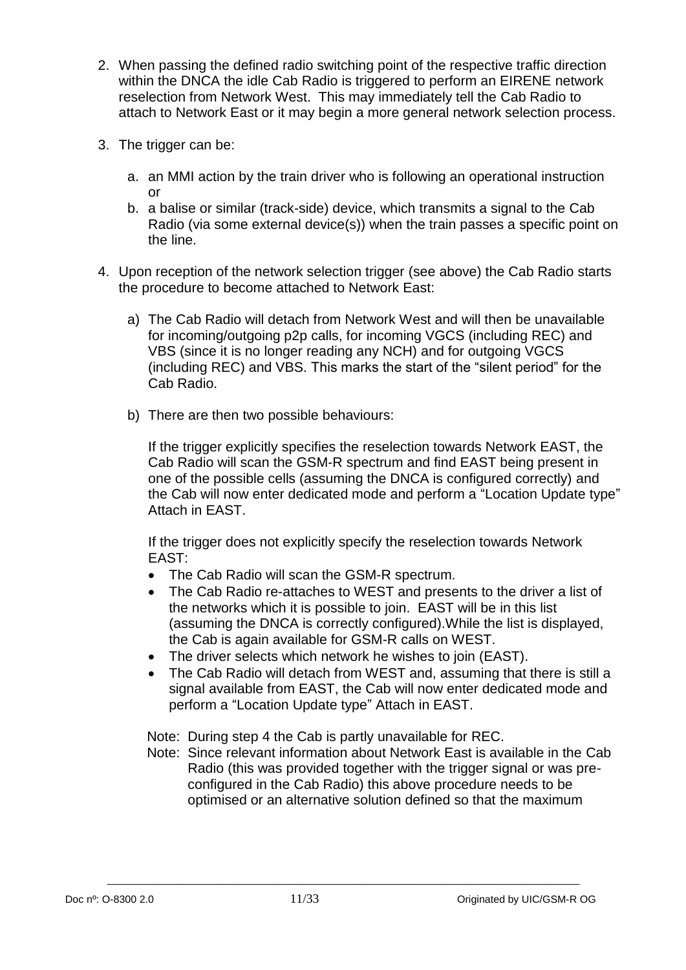- 2. When passing the defined radio switching point of the respective traffic direction within the DNCA the idle Cab Radio is triggered to perform an EIRENE network reselection from Network West. This may immediately tell the Cab Radio to attach to Network East or it may begin a more general network selection process.
- 3. The trigger can be:
	- a. an MMI action by the train driver who is following an operational instruction or
	- b. a balise or similar (track-side) device, which transmits a signal to the Cab Radio (via some external device(s)) when the train passes a specific point on the line.
- 4. Upon reception of the network selection trigger (see above) the Cab Radio starts the procedure to become attached to Network East:
	- a) The Cab Radio will detach from Network West and will then be unavailable for incoming/outgoing p2p calls, for incoming VGCS (including REC) and VBS (since it is no longer reading any NCH) and for outgoing VGCS (including REC) and VBS. This marks the start of the "silent period" for the Cab Radio.
	- b) There are then two possible behaviours:

If the trigger explicitly specifies the reselection towards Network EAST, the Cab Radio will scan the GSM-R spectrum and find EAST being present in one of the possible cells (assuming the DNCA is configured correctly) and the Cab will now enter dedicated mode and perform a "Location Update type" Attach in EAST.

If the trigger does not explicitly specify the reselection towards Network EAST:

- The Cab Radio will scan the GSM-R spectrum.
- The Cab Radio re-attaches to WEST and presents to the driver a list of the networks which it is possible to join. EAST will be in this list (assuming the DNCA is correctly configured).While the list is displayed, the Cab is again available for GSM-R calls on WEST.
- The driver selects which network he wishes to join (EAST).
- The Cab Radio will detach from WEST and, assuming that there is still a signal available from EAST, the Cab will now enter dedicated mode and perform a "Location Update type" Attach in EAST.

Note: During step 4 the Cab is partly unavailable for REC.

Note: Since relevant information about Network East is available in the Cab Radio (this was provided together with the trigger signal or was preconfigured in the Cab Radio) this above procedure needs to be optimised or an alternative solution defined so that the maximum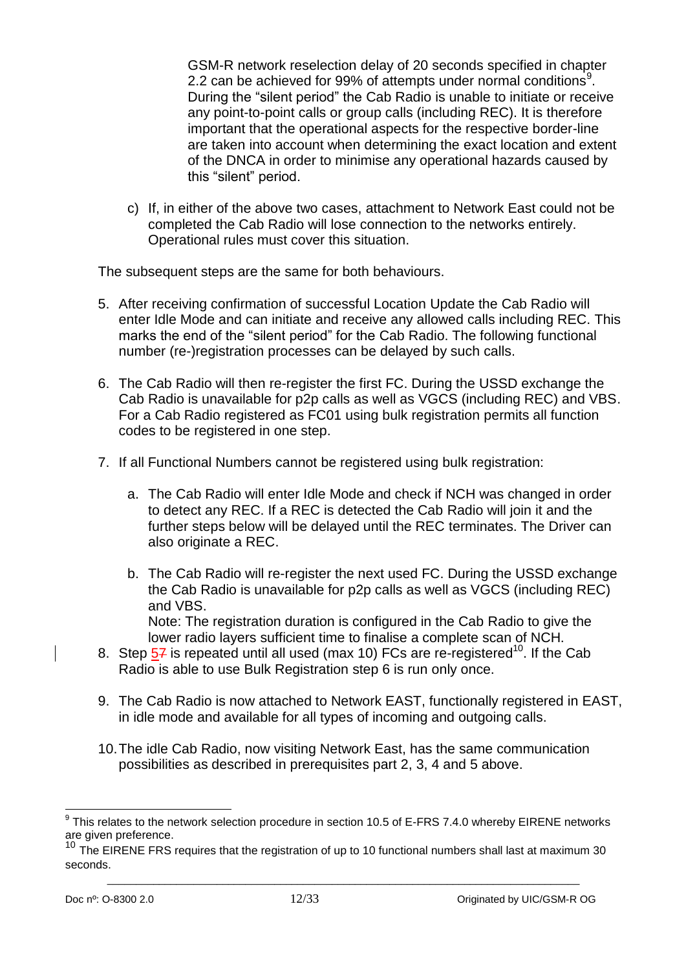GSM-R network reselection delay of 20 seconds specified in chapter [2.2](#page-6-2) can be achieved for 99% of attempts under normal conditions<sup>9</sup>. During the "silent period" the Cab Radio is unable to initiate or receive any point-to-point calls or group calls (including REC). It is therefore important that the operational aspects for the respective border-line are taken into account when determining the exact location and extent of the DNCA in order to minimise any operational hazards caused by this "silent" period.

c) If, in either of the above two cases, attachment to Network East could not be completed the Cab Radio will lose connection to the networks entirely. Operational rules must cover this situation.

The subsequent steps are the same for both behaviours.

- <span id="page-11-0"></span>5. After receiving confirmation of successful Location Update the Cab Radio will enter Idle Mode and can initiate and receive any allowed calls including REC. This marks the end of the "silent period" for the Cab Radio. The following functional number (re-)registration processes can be delayed by such calls.
- 6. The Cab Radio will then re-register the first FC. During the USSD exchange the Cab Radio is unavailable for p2p calls as well as VGCS (including REC) and VBS. For a Cab Radio registered as FC01 using bulk registration permits all function codes to be registered in one step.
- 7. If all Functional Numbers cannot be registered using bulk registration:
	- a. The Cab Radio will enter Idle Mode and check if NCH was changed in order to detect any REC. If a REC is detected the Cab Radio will join it and the further steps below will be delayed until the REC terminates. The Driver can also originate a REC.
	- b. The Cab Radio will re-register the next used FC. During the USSD exchange the Cab Radio is unavailable for p2p calls as well as VGCS (including REC) and VBS.

Note: The registration duration is configured in the Cab Radio to give the lower radio layers sufficient time to finalise a complete scan of NCH.

- 8. Step  $57$  is repeated until all used (max 10) FCs are re-registered<sup>10</sup>. If the Cab Radio is able to use Bulk Registration step 6 is run only once.
- 9. The Cab Radio is now attached to Network EAST, functionally registered in EAST, in idle mode and available for all types of incoming and outgoing calls.
- 10.The idle Cab Radio, now visiting Network East, has the same communication possibilities as described in prerequisites part 2, 3, 4 and 5 above.

\_\_\_\_\_\_\_\_\_\_\_\_\_\_\_\_\_\_\_\_\_\_\_\_\_\_\_\_\_\_\_\_\_\_\_\_\_\_\_\_\_\_\_\_\_\_\_\_\_\_\_\_\_\_\_\_\_\_\_\_\_\_\_\_\_\_\_\_\_\_\_\_\_\_\_\_\_\_\_\_\_\_

<u>.</u>

 $9$  This relates to the network selection procedure in section 10.5 of E-FRS 7.4.0 whereby EIRENE networks are given preference.

<sup>&</sup>lt;sup>10</sup> The EIRENE FRS requires that the registration of up to 10 functional numbers shall last at maximum 30 seconds.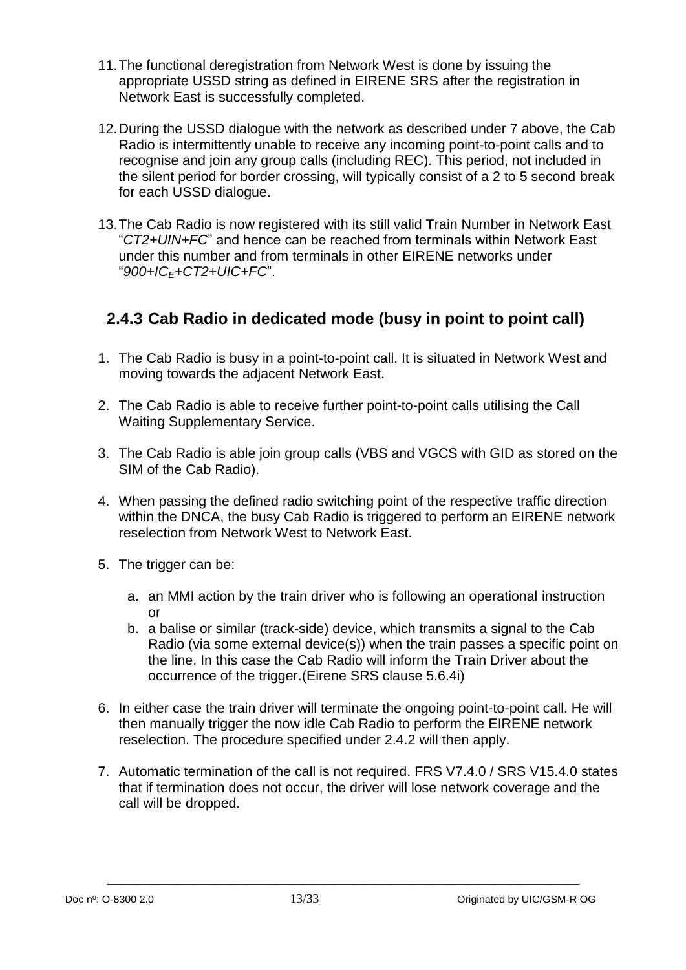- 11.The functional deregistration from Network West is done by issuing the appropriate USSD string as defined in EIRENE SRS after the registration in Network East is successfully completed.
- 12.During the USSD dialogue with the network as described under 7 above, the Cab Radio is intermittently unable to receive any incoming point-to-point calls and to recognise and join any group calls (including REC). This period, not included in the silent period for border crossing, will typically consist of a 2 to 5 second break for each USSD dialogue.
- 13.The Cab Radio is now registered with its still valid Train Number in Network East "*CT2+UIN+FC*" and hence can be reached from terminals within Network East under this number and from terminals in other EIRENE networks under "*900+ICE+CT2+UIC+FC*".

### <span id="page-12-0"></span>**2.4.3 Cab Radio in dedicated mode (busy in point to point call)**

- 1. The Cab Radio is busy in a point-to-point call. It is situated in Network West and moving towards the adjacent Network East.
- 2. The Cab Radio is able to receive further point-to-point calls utilising the Call Waiting Supplementary Service.
- 3. The Cab Radio is able join group calls (VBS and VGCS with GID as stored on the SIM of the Cab Radio).
- 4. When passing the defined radio switching point of the respective traffic direction within the DNCA, the busy Cab Radio is triggered to perform an EIRENE network reselection from Network West to Network East.
- 5. The trigger can be:
	- a. an MMI action by the train driver who is following an operational instruction  $\alpha$ r
	- b. a balise or similar (track-side) device, which transmits a signal to the Cab Radio (via some external device(s)) when the train passes a specific point on the line. In this case the Cab Radio will inform the Train Driver about the occurrence of the trigger.(Eirene SRS clause 5.6.4i)
- 6. In either case the train driver will terminate the ongoing point-to-point call. He will then manually trigger the now idle Cab Radio to perform the EIRENE network reselection. The procedure specified under [2.4.2](#page-9-2) will then apply.
- 7. Automatic termination of the call is not required. FRS V7.4.0 / SRS V15.4.0 states that if termination does not occur, the driver will lose network coverage and the call will be dropped.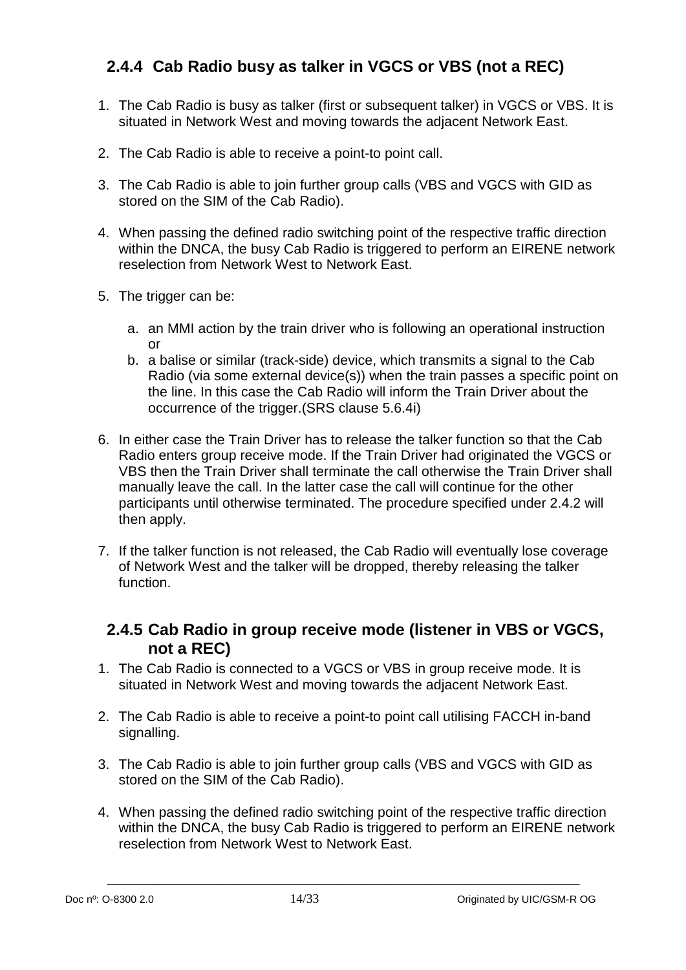### <span id="page-13-0"></span>**2.4.4 Cab Radio busy as talker in VGCS or VBS (not a REC)**

- 1. The Cab Radio is busy as talker (first or subsequent talker) in VGCS or VBS. It is situated in Network West and moving towards the adjacent Network East.
- 2. The Cab Radio is able to receive a point-to point call.
- 3. The Cab Radio is able to join further group calls (VBS and VGCS with GID as stored on the SIM of the Cab Radio).
- 4. When passing the defined radio switching point of the respective traffic direction within the DNCA, the busy Cab Radio is triggered to perform an EIRENE network reselection from Network West to Network East.
- 5. The trigger can be:
	- a. an MMI action by the train driver who is following an operational instruction or
	- b. a balise or similar (track-side) device, which transmits a signal to the Cab Radio (via some external device(s)) when the train passes a specific point on the line. In this case the Cab Radio will inform the Train Driver about the occurrence of the trigger.(SRS clause 5.6.4i)
- 6. In either case the Train Driver has to release the talker function so that the Cab Radio enters group receive mode. If the Train Driver had originated the VGCS or VBS then the Train Driver shall terminate the call otherwise the Train Driver shall manually leave the call. In the latter case the call will continue for the other participants until otherwise terminated. The procedure specified under [2.4.2](#page-9-2) will then apply.
- 7. If the talker function is not released, the Cab Radio will eventually lose coverage of Network West and the talker will be dropped, thereby releasing the talker function.

### <span id="page-13-1"></span>**2.4.5 Cab Radio in group receive mode (listener in VBS or VGCS, not a REC)**

- 1. The Cab Radio is connected to a VGCS or VBS in group receive mode. It is situated in Network West and moving towards the adjacent Network East.
- 2. The Cab Radio is able to receive a point-to point call utilising FACCH in-band signalling.
- 3. The Cab Radio is able to join further group calls (VBS and VGCS with GID as stored on the SIM of the Cab Radio).

\_\_\_\_\_\_\_\_\_\_\_\_\_\_\_\_\_\_\_\_\_\_\_\_\_\_\_\_\_\_\_\_\_\_\_\_\_\_\_\_\_\_\_\_\_\_\_\_\_\_\_\_\_\_\_\_\_\_\_\_\_\_\_\_\_\_\_\_\_\_\_\_\_\_\_\_\_\_\_\_\_\_

4. When passing the defined radio switching point of the respective traffic direction within the DNCA, the busy Cab Radio is triggered to perform an EIRENE network reselection from Network West to Network East.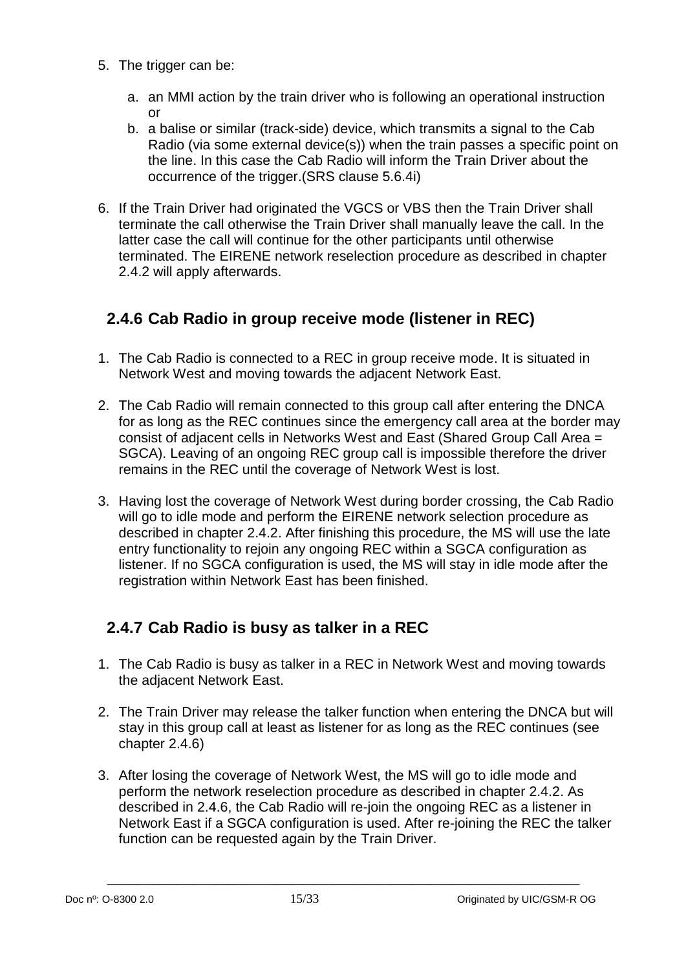- 5. The trigger can be:
	- a. an MMI action by the train driver who is following an operational instruction or
	- b. a balise or similar (track-side) device, which transmits a signal to the Cab Radio (via some external device(s)) when the train passes a specific point on the line. In this case the Cab Radio will inform the Train Driver about the occurrence of the trigger.(SRS clause 5.6.4i)
- 6. If the Train Driver had originated the VGCS or VBS then the Train Driver shall terminate the call otherwise the Train Driver shall manually leave the call. In the latter case the call will continue for the other participants until otherwise terminated. The EIRENE network reselection procedure as described in chapter 2.4.2 will apply afterwards.

### <span id="page-14-0"></span>**2.4.6 Cab Radio in group receive mode (listener in REC)**

- 1. The Cab Radio is connected to a REC in group receive mode. It is situated in Network West and moving towards the adjacent Network East.
- 2. The Cab Radio will remain connected to this group call after entering the DNCA for as long as the REC continues since the emergency call area at the border may consist of adjacent cells in Networks West and East (Shared Group Call Area = SGCA). Leaving of an ongoing REC group call is impossible therefore the driver remains in the REC until the coverage of Network West is lost.
- 3. Having lost the coverage of Network West during border crossing, the Cab Radio will go to idle mode and perform the EIRENE network selection procedure as described in chapter [2.4.2.](#page-9-2) After finishing this procedure, the MS will use the late entry functionality to rejoin any ongoing REC within a SGCA configuration as listener. If no SGCA configuration is used, the MS will stay in idle mode after the registration within Network East has been finished.

### <span id="page-14-1"></span>**2.4.7 Cab Radio is busy as talker in a REC**

- 1. The Cab Radio is busy as talker in a REC in Network West and moving towards the adjacent Network East.
- 2. The Train Driver may release the talker function when entering the DNCA but will stay in this group call at least as listener for as long as the REC continues (see chapter [2.4.6\)](#page-14-0)
- 3. After losing the coverage of Network West, the MS will go to idle mode and perform the network reselection procedure as described in chapter [2.4.2.](#page-9-2) As described in [2.4.6,](#page-14-0) the Cab Radio will re-join the ongoing REC as a listener in Network East if a SGCA configuration is used. After re-joining the REC the talker function can be requested again by the Train Driver.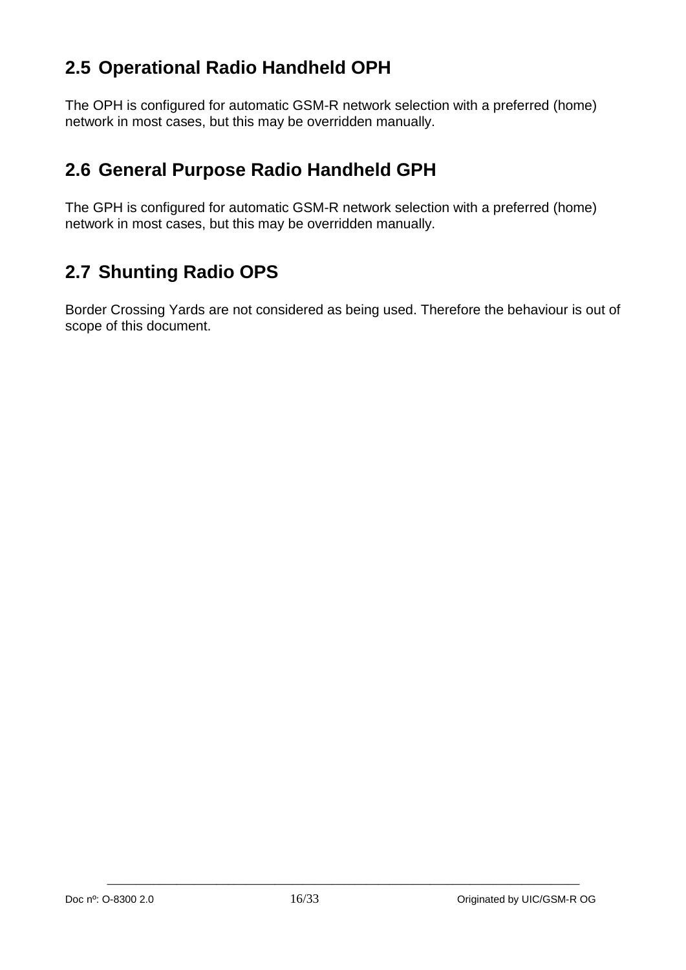### <span id="page-15-0"></span>**2.5 Operational Radio Handheld OPH**

The OPH is configured for automatic GSM-R network selection with a preferred (home) network in most cases, but this may be overridden manually.

### <span id="page-15-1"></span>**2.6 General Purpose Radio Handheld GPH**

The GPH is configured for automatic GSM-R network selection with a preferred (home) network in most cases, but this may be overridden manually.

## <span id="page-15-2"></span>**2.7 Shunting Radio OPS**

Border Crossing Yards are not considered as being used. Therefore the behaviour is out of scope of this document.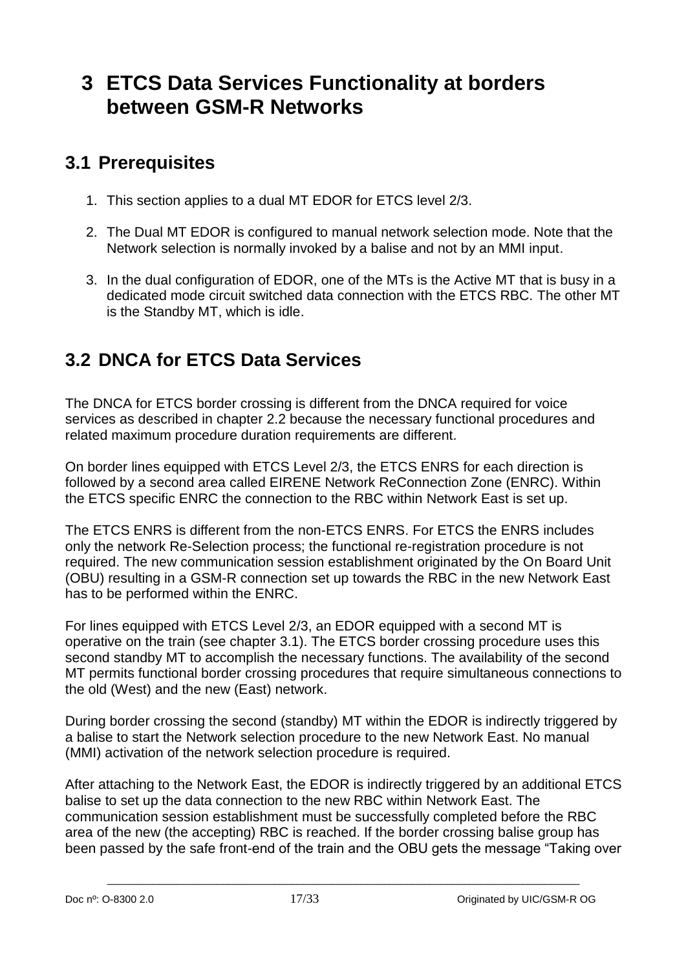## <span id="page-16-0"></span>**3 ETCS Data Services Functionality at borders between GSM-R Networks**

### <span id="page-16-1"></span>**3.1 Prerequisites**

- 1. This section applies to a dual MT EDOR for ETCS level 2/3.
- 2. The Dual MT EDOR is configured to manual network selection mode. Note that the Network selection is normally invoked by a balise and not by an MMI input.
- 3. In the dual configuration of EDOR, one of the MTs is the Active MT that is busy in a dedicated mode circuit switched data connection with the ETCS RBC. The other MT is the Standby MT, which is idle.

## <span id="page-16-2"></span>**3.2 DNCA for ETCS Data Services**

The DNCA for ETCS border crossing is different from the DNCA required for voice services as described in chapter [2.2](#page-6-2) because the necessary functional procedures and related maximum procedure duration requirements are different.

On border lines equipped with ETCS Level 2/3, the ETCS ENRS for each direction is followed by a second area called EIRENE Network ReConnection Zone (ENRC). Within the ETCS specific ENRC the connection to the RBC within Network East is set up.

The ETCS ENRS is different from the non-ETCS ENRS. For ETCS the ENRS includes only the network Re-Selection process; the functional re-registration procedure is not required. The new communication session establishment originated by the On Board Unit (OBU) resulting in a GSM-R connection set up towards the RBC in the new Network East has to be performed within the ENRC.

For lines equipped with ETCS Level 2/3, an EDOR equipped with a second MT is operative on the train (see chapter 3.1). The ETCS border crossing procedure uses this second standby MT to accomplish the necessary functions. The availability of the second MT permits functional border crossing procedures that require simultaneous connections to the old (West) and the new (East) network.

During border crossing the second (standby) MT within the EDOR is indirectly triggered by a balise to start the Network selection procedure to the new Network East. No manual (MMI) activation of the network selection procedure is required.

After attaching to the Network East, the EDOR is indirectly triggered by an additional ETCS balise to set up the data connection to the new RBC within Network East. The communication session establishment must be successfully completed before the RBC area of the new (the accepting) RBC is reached. If the border crossing balise group has been passed by the safe front-end of the train and the OBU gets the message "Taking over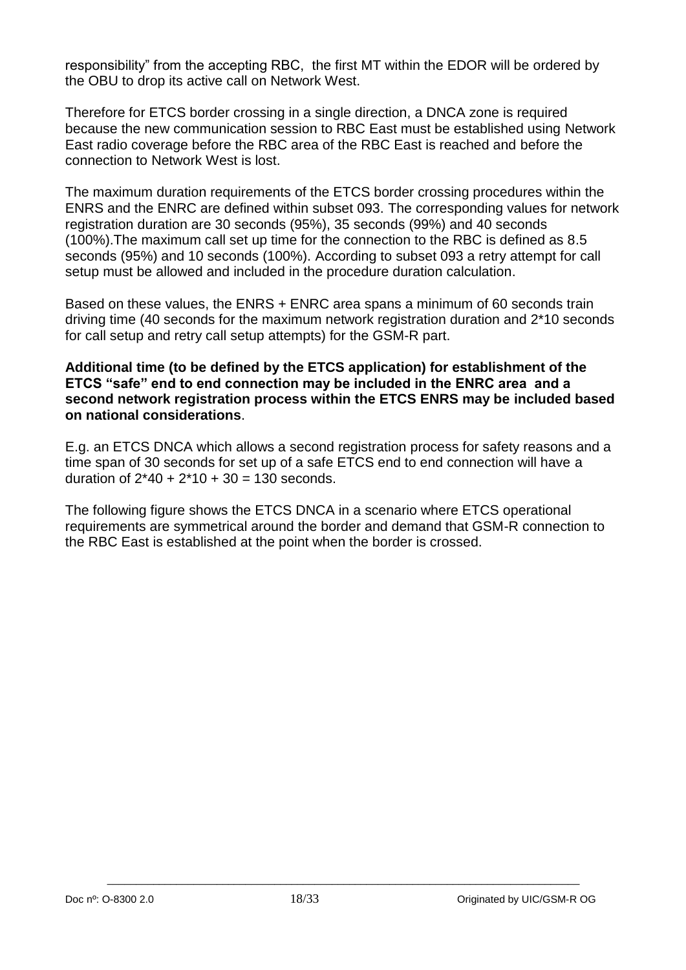responsibility" from the accepting RBC, the first MT within the EDOR will be ordered by the OBU to drop its active call on Network West.

Therefore for ETCS border crossing in a single direction, a DNCA zone is required because the new communication session to RBC East must be established using Network East radio coverage before the RBC area of the RBC East is reached and before the connection to Network West is lost.

The maximum duration requirements of the ETCS border crossing procedures within the ENRS and the ENRC are defined within subset 093. The corresponding values for network registration duration are 30 seconds (95%), 35 seconds (99%) and 40 seconds (100%).The maximum call set up time for the connection to the RBC is defined as 8.5 seconds (95%) and 10 seconds (100%). According to subset 093 a retry attempt for call setup must be allowed and included in the procedure duration calculation.

Based on these values, the ENRS + ENRC area spans a minimum of 60 seconds train driving time (40 seconds for the maximum network registration duration and 2\*10 seconds for call setup and retry call setup attempts) for the GSM-R part.

### **Additional time (to be defined by the ETCS application) for establishment of the ETCS "safe" end to end connection may be included in the ENRC area and a second network registration process within the ETCS ENRS may be included based on national considerations**.

E.g. an ETCS DNCA which allows a second registration process for safety reasons and a time span of 30 seconds for set up of a safe ETCS end to end connection will have a duration of  $2*40 + 2*10 + 30 = 130$  seconds.

The following figure shows the ETCS DNCA in a scenario where ETCS operational requirements are symmetrical around the border and demand that GSM-R connection to the RBC East is established at the point when the border is crossed.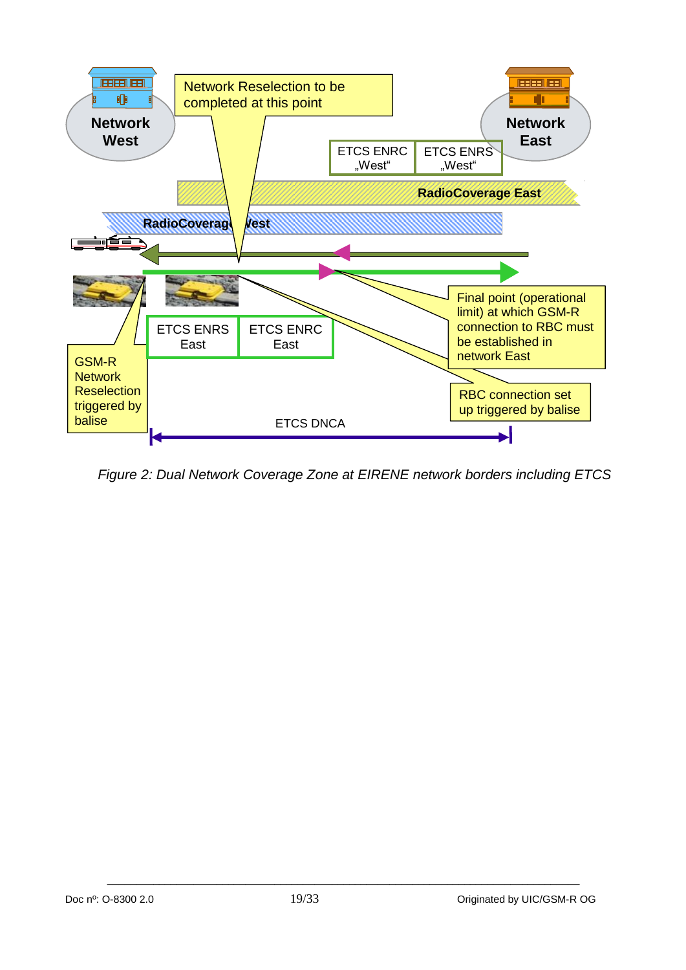

*Figure 2: Dual Network Coverage Zone at EIRENE network borders including ETCS*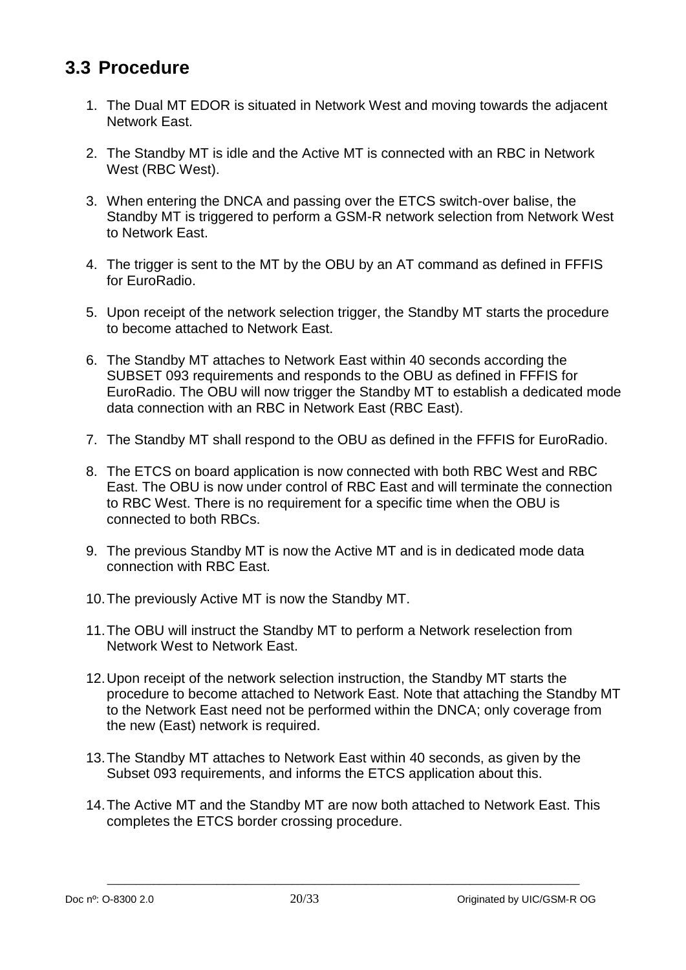### <span id="page-19-0"></span>**3.3 Procedure**

- 1. The Dual MT EDOR is situated in Network West and moving towards the adjacent Network East.
- 2. The Standby MT is idle and the Active MT is connected with an RBC in Network West (RBC West).
- 3. When entering the DNCA and passing over the ETCS switch-over balise, the Standby MT is triggered to perform a GSM-R network selection from Network West to Network East.
- 4. The trigger is sent to the MT by the OBU by an AT command as defined in FFFIS for EuroRadio.
- 5. Upon receipt of the network selection trigger, the Standby MT starts the procedure to become attached to Network East.
- 6. The Standby MT attaches to Network East within 40 seconds according the SUBSET 093 requirements and responds to the OBU as defined in FFFIS for EuroRadio. The OBU will now trigger the Standby MT to establish a dedicated mode data connection with an RBC in Network East (RBC East).
- 7. The Standby MT shall respond to the OBU as defined in the FFFIS for EuroRadio.
- 8. The ETCS on board application is now connected with both RBC West and RBC East. The OBU is now under control of RBC East and will terminate the connection to RBC West. There is no requirement for a specific time when the OBU is connected to both RBCs.
- 9. The previous Standby MT is now the Active MT and is in dedicated mode data connection with RBC East.
- 10.The previously Active MT is now the Standby MT.
- 11.The OBU will instruct the Standby MT to perform a Network reselection from Network West to Network East.
- 12.Upon receipt of the network selection instruction, the Standby MT starts the procedure to become attached to Network East. Note that attaching the Standby MT to the Network East need not be performed within the DNCA; only coverage from the new (East) network is required.
- 13.The Standby MT attaches to Network East within 40 seconds, as given by the Subset 093 requirements, and informs the ETCS application about this.
- 14.The Active MT and the Standby MT are now both attached to Network East. This completes the ETCS border crossing procedure.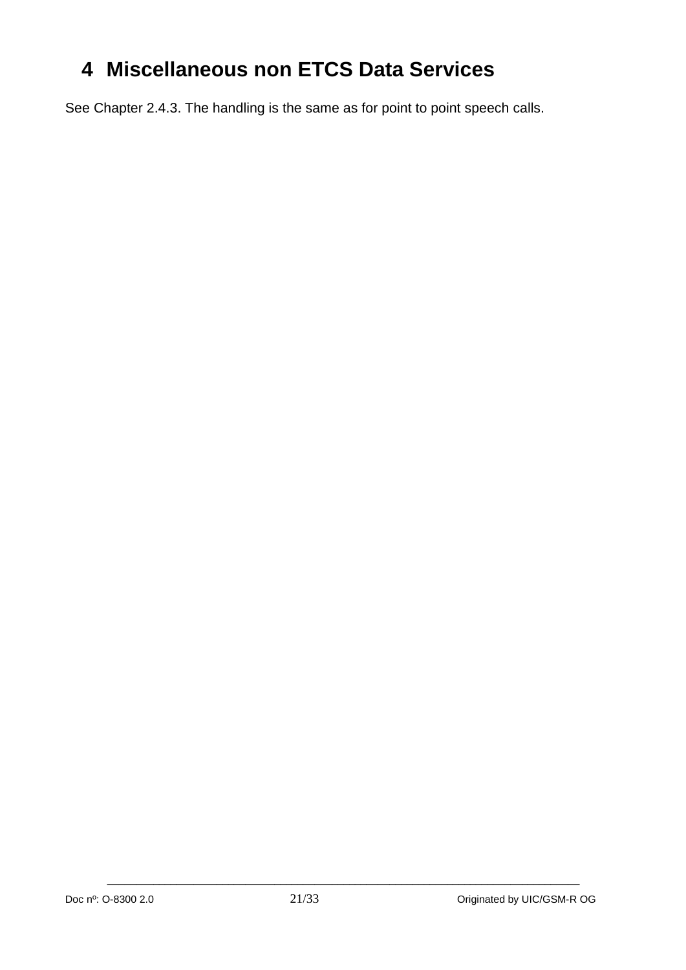# <span id="page-20-0"></span>**4 Miscellaneous non ETCS Data Services**

See Chapter 2.4.3. The handling is the same as for point to point speech calls.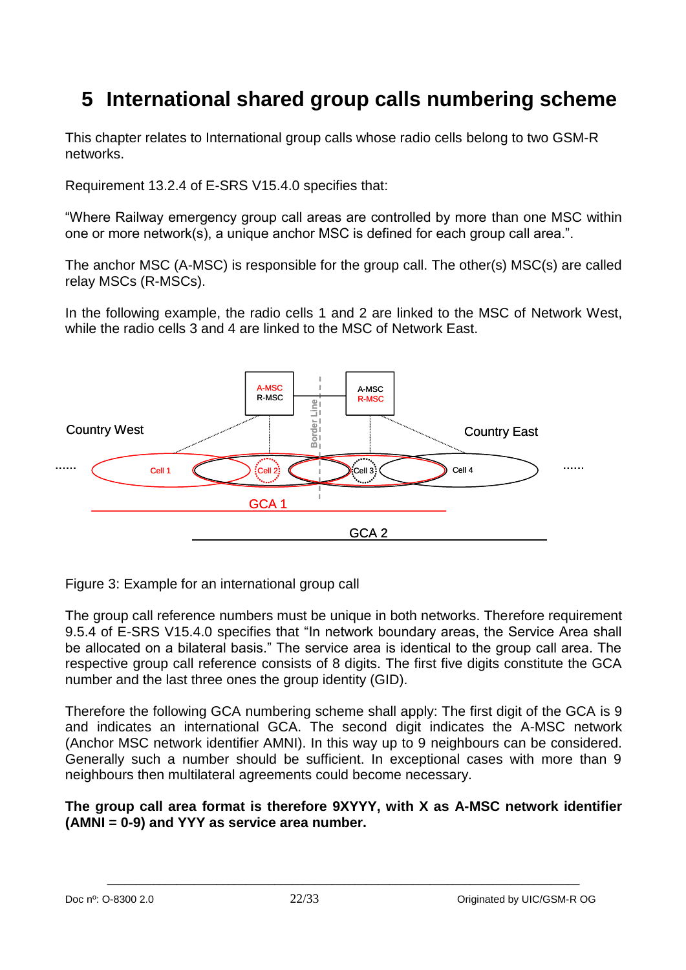## <span id="page-21-0"></span>**5 International shared group calls numbering scheme**

This chapter relates to International group calls whose radio cells belong to two GSM-R networks.

Requirement 13.2.4 of E-SRS V15.4.0 specifies that:

"Where Railway emergency group call areas are controlled by more than one MSC within one or more network(s), a unique anchor MSC is defined for each group call area.".

The anchor MSC (A-MSC) is responsible for the group call. The other(s) MSC(s) are called relay MSCs (R-MSCs).

In the following example, the radio cells 1 and 2 are linked to the MSC of Network West, while the radio cells 3 and 4 are linked to the MSC of Network East.



Figure 3: Example for an international group call

The group call reference numbers must be unique in both networks. Therefore requirement 9.5.4 of E-SRS V15.4.0 specifies that "In network boundary areas, the Service Area shall be allocated on a bilateral basis." The service area is identical to the group call area. The respective group call reference consists of 8 digits. The first five digits constitute the GCA number and the last three ones the group identity (GID).

Therefore the following GCA numbering scheme shall apply: The first digit of the GCA is 9 and indicates an international GCA. The second digit indicates the A-MSC network (Anchor MSC network identifier AMNI). In this way up to 9 neighbours can be considered. Generally such a number should be sufficient. In exceptional cases with more than 9 neighbours then multilateral agreements could become necessary.

**The group call area format is therefore 9XYYY, with X as A-MSC network identifier (AMNI = 0-9) and YYY as service area number.**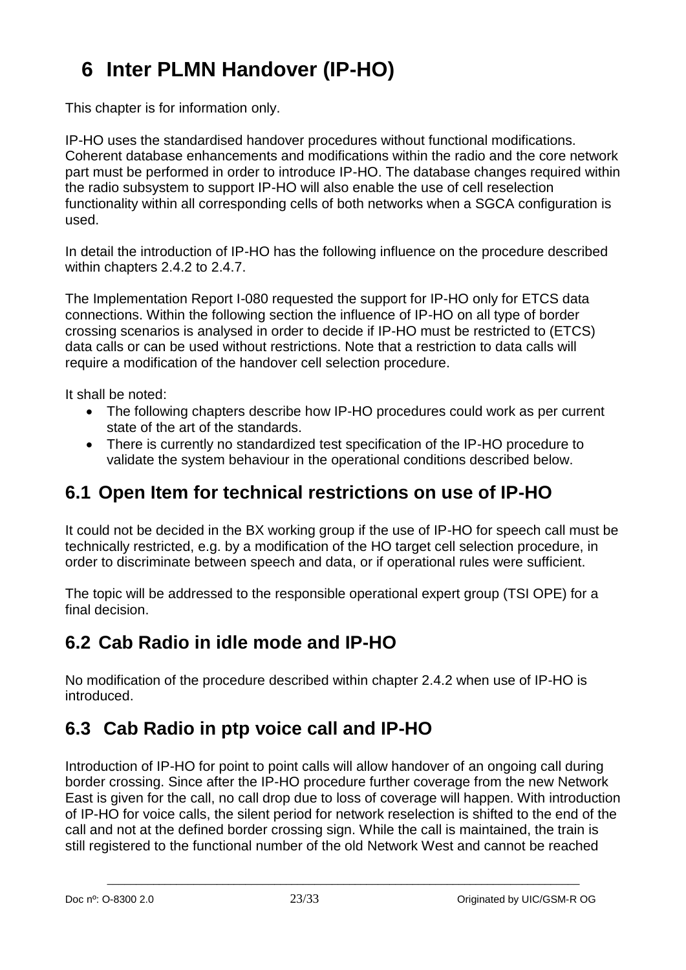# <span id="page-22-0"></span>**6 Inter PLMN Handover (IP-HO)**

This chapter is for information only.

IP-HO uses the standardised handover procedures without functional modifications. Coherent database enhancements and modifications within the radio and the core network part must be performed in order to introduce IP-HO. The database changes required within the radio subsystem to support IP-HO will also enable the use of cell reselection functionality within all corresponding cells of both networks when a SGCA configuration is used.

In detail the introduction of IP-HO has the following influence on the procedure described within chapters 2.4.2 to 2.4.7.

The Implementation Report I-080 requested the support for IP-HO only for ETCS data connections. Within the following section the influence of IP-HO on all type of border crossing scenarios is analysed in order to decide if IP-HO must be restricted to (ETCS) data calls or can be used without restrictions. Note that a restriction to data calls will require a modification of the handover cell selection procedure.

It shall be noted:

- The following chapters describe how IP-HO procedures could work as per current state of the art of the standards.
- There is currently no standardized test specification of the IP-HO procedure to validate the system behaviour in the operational conditions described below.

### <span id="page-22-1"></span>**6.1 Open Item for technical restrictions on use of IP-HO**

It could not be decided in the BX working group if the use of IP-HO for speech call must be technically restricted, e.g. by a modification of the HO target cell selection procedure, in order to discriminate between speech and data, or if operational rules were sufficient.

The topic will be addressed to the responsible operational expert group (TSI OPE) for a final decision.

### <span id="page-22-2"></span>**6.2 Cab Radio in idle mode and IP-HO**

No modification of the procedure described within chapter 2.4.2 when use of IP-HO is introduced.

### <span id="page-22-3"></span>**6.3 Cab Radio in ptp voice call and IP-HO**

Introduction of IP-HO for point to point calls will allow handover of an ongoing call during border crossing. Since after the IP-HO procedure further coverage from the new Network East is given for the call, no call drop due to loss of coverage will happen. With introduction of IP-HO for voice calls, the silent period for network reselection is shifted to the end of the call and not at the defined border crossing sign. While the call is maintained, the train is still registered to the functional number of the old Network West and cannot be reached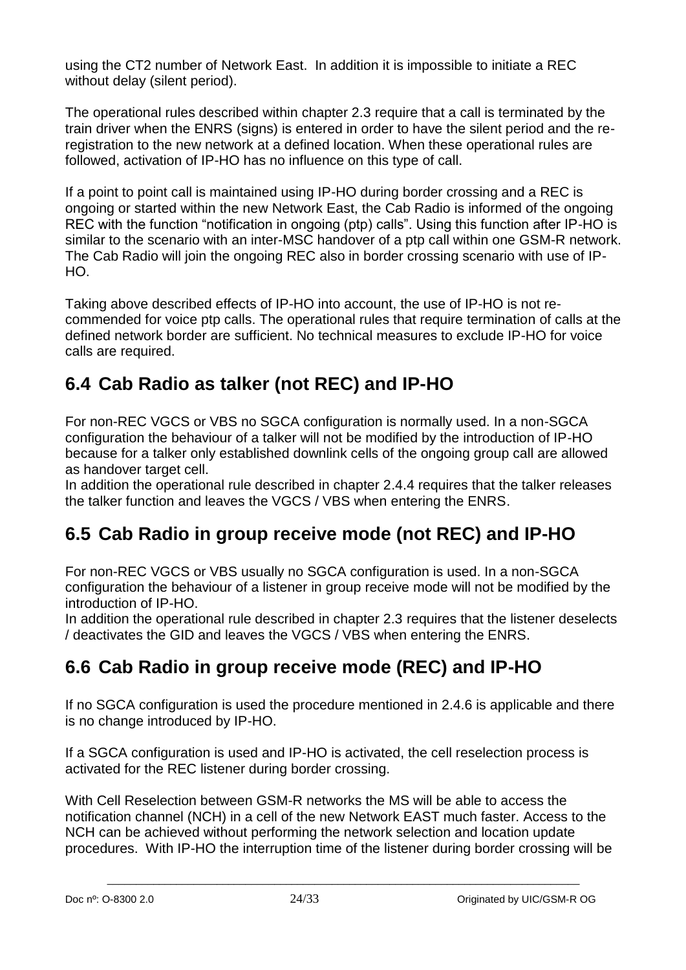using the CT2 number of Network East. In addition it is impossible to initiate a REC without delay (silent period).

The operational rules described within chapter 2.3 require that a call is terminated by the train driver when the ENRS (signs) is entered in order to have the silent period and the reregistration to the new network at a defined location. When these operational rules are followed, activation of IP-HO has no influence on this type of call.

If a point to point call is maintained using IP-HO during border crossing and a REC is ongoing or started within the new Network East, the Cab Radio is informed of the ongoing REC with the function "notification in ongoing (ptp) calls". Using this function after IP-HO is similar to the scenario with an inter-MSC handover of a ptp call within one GSM-R network. The Cab Radio will join the ongoing REC also in border crossing scenario with use of IP-HO.

Taking above described effects of IP-HO into account, the use of IP-HO is not recommended for voice ptp calls. The operational rules that require termination of calls at the defined network border are sufficient. No technical measures to exclude IP-HO for voice calls are required.

## <span id="page-23-0"></span>**6.4 Cab Radio as talker (not REC) and IP-HO**

For non-REC VGCS or VBS no SGCA configuration is normally used. In a non-SGCA configuration the behaviour of a talker will not be modified by the introduction of IP-HO because for a talker only established downlink cells of the ongoing group call are allowed as handover target cell.

In addition the operational rule described in chapter 2.4.4 requires that the talker releases the talker function and leaves the VGCS / VBS when entering the ENRS.

### <span id="page-23-1"></span>**6.5 Cab Radio in group receive mode (not REC) and IP-HO**

For non-REC VGCS or VBS usually no SGCA configuration is used. In a non-SGCA configuration the behaviour of a listener in group receive mode will not be modified by the introduction of IP-HO.

In addition the operational rule described in chapter 2.3 requires that the listener deselects / deactivates the GID and leaves the VGCS / VBS when entering the ENRS.

## <span id="page-23-2"></span>**6.6 Cab Radio in group receive mode (REC) and IP-HO**

If no SGCA configuration is used the procedure mentioned in 2.4.6 is applicable and there is no change introduced by IP-HO.

If a SGCA configuration is used and IP-HO is activated, the cell reselection process is activated for the REC listener during border crossing.

With Cell Reselection between GSM-R networks the MS will be able to access the notification channel (NCH) in a cell of the new Network EAST much faster. Access to the NCH can be achieved without performing the network selection and location update procedures. With IP-HO the interruption time of the listener during border crossing will be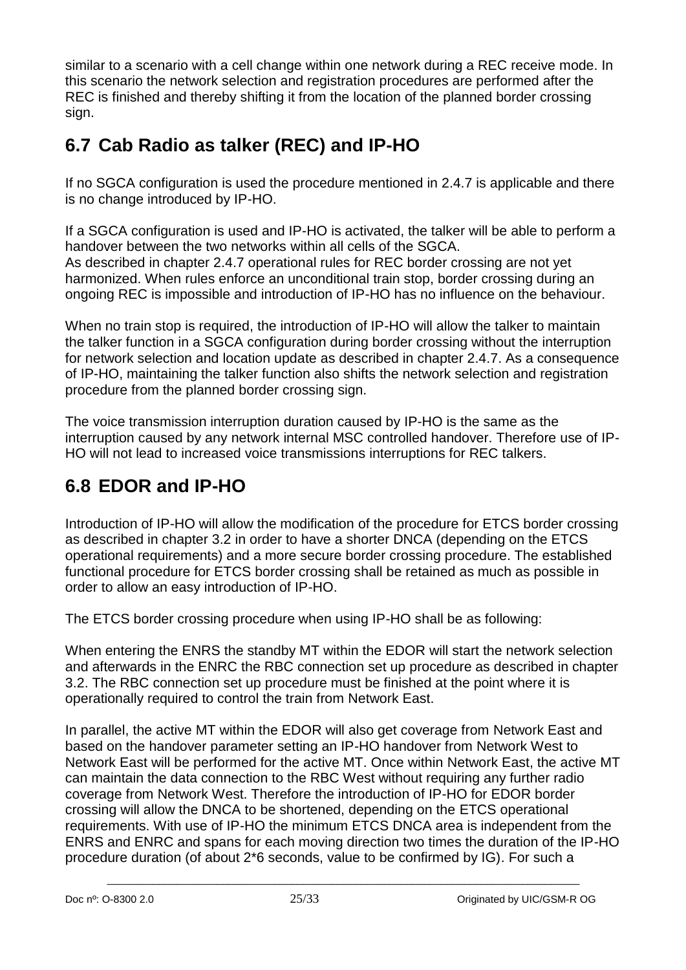similar to a scenario with a cell change within one network during a REC receive mode. In this scenario the network selection and registration procedures are performed after the REC is finished and thereby shifting it from the location of the planned border crossing sign.

## <span id="page-24-0"></span>**6.7 Cab Radio as talker (REC) and IP-HO**

If no SGCA configuration is used the procedure mentioned in 2.4.7 is applicable and there is no change introduced by IP-HO.

If a SGCA configuration is used and IP-HO is activated, the talker will be able to perform a handover between the two networks within all cells of the SGCA. As described in chapter 2.4.7 operational rules for REC border crossing are not yet harmonized. When rules enforce an unconditional train stop, border crossing during an ongoing REC is impossible and introduction of IP-HO has no influence on the behaviour.

When no train stop is required, the introduction of IP-HO will allow the talker to maintain the talker function in a SGCA configuration during border crossing without the interruption for network selection and location update as described in chapter 2.4.7. As a consequence of IP-HO, maintaining the talker function also shifts the network selection and registration procedure from the planned border crossing sign.

The voice transmission interruption duration caused by IP-HO is the same as the interruption caused by any network internal MSC controlled handover. Therefore use of IP-HO will not lead to increased voice transmissions interruptions for REC talkers.

## <span id="page-24-1"></span>**6.8 EDOR and IP-HO**

Introduction of IP-HO will allow the modification of the procedure for ETCS border crossing as described in chapter 3.2 in order to have a shorter DNCA (depending on the ETCS operational requirements) and a more secure border crossing procedure. The established functional procedure for ETCS border crossing shall be retained as much as possible in order to allow an easy introduction of IP-HO.

The ETCS border crossing procedure when using IP-HO shall be as following:

When entering the ENRS the standby MT within the EDOR will start the network selection and afterwards in the ENRC the RBC connection set up procedure as described in chapter 3.2. The RBC connection set up procedure must be finished at the point where it is operationally required to control the train from Network East.

In parallel, the active MT within the EDOR will also get coverage from Network East and based on the handover parameter setting an IP-HO handover from Network West to Network East will be performed for the active MT. Once within Network East, the active MT can maintain the data connection to the RBC West without requiring any further radio coverage from Network West. Therefore the introduction of IP-HO for EDOR border crossing will allow the DNCA to be shortened, depending on the ETCS operational requirements. With use of IP-HO the minimum ETCS DNCA area is independent from the ENRS and ENRC and spans for each moving direction two times the duration of the IP-HO procedure duration (of about 2\*6 seconds, value to be confirmed by IG). For such a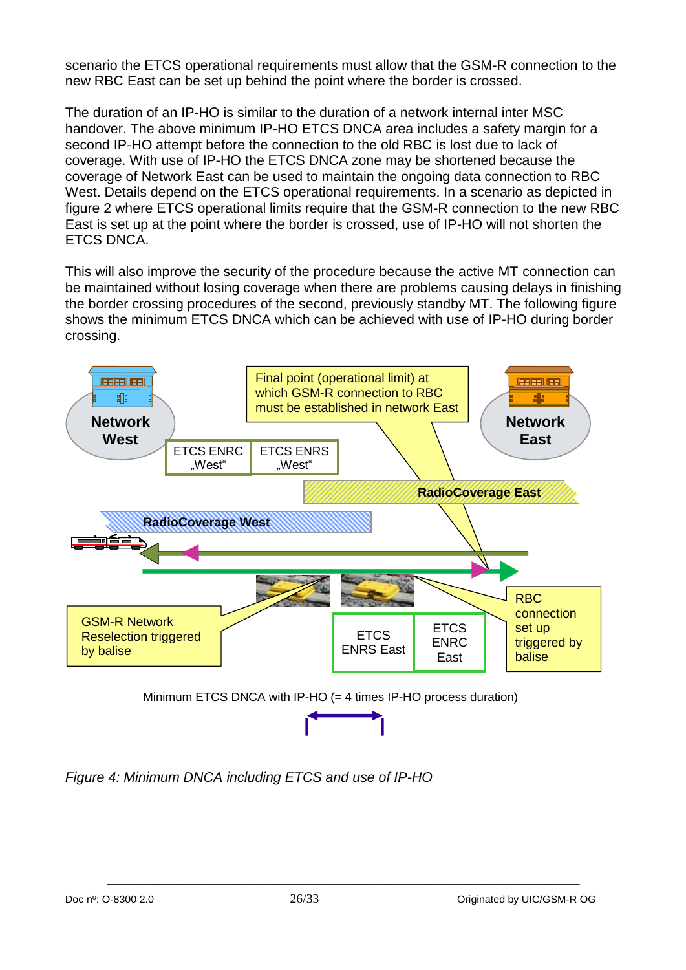scenario the ETCS operational requirements must allow that the GSM-R connection to the new RBC East can be set up behind the point where the border is crossed.

The duration of an IP-HO is similar to the duration of a network internal inter MSC handover. The above minimum IP-HO ETCS DNCA area includes a safety margin for a second IP-HO attempt before the connection to the old RBC is lost due to lack of coverage. With use of IP-HO the ETCS DNCA zone may be shortened because the coverage of Network East can be used to maintain the ongoing data connection to RBC West. Details depend on the ETCS operational requirements. In a scenario as depicted in figure 2 where ETCS operational limits require that the GSM-R connection to the new RBC East is set up at the point where the border is crossed, use of IP-HO will not shorten the ETCS DNCA.

This will also improve the security of the procedure because the active MT connection can be maintained without losing coverage when there are problems causing delays in finishing the border crossing procedures of the second, previously standby MT. The following figure shows the minimum ETCS DNCA which can be achieved with use of IP-HO during border crossing.



*Figure 4: Minimum DNCA including ETCS and use of IP-HO*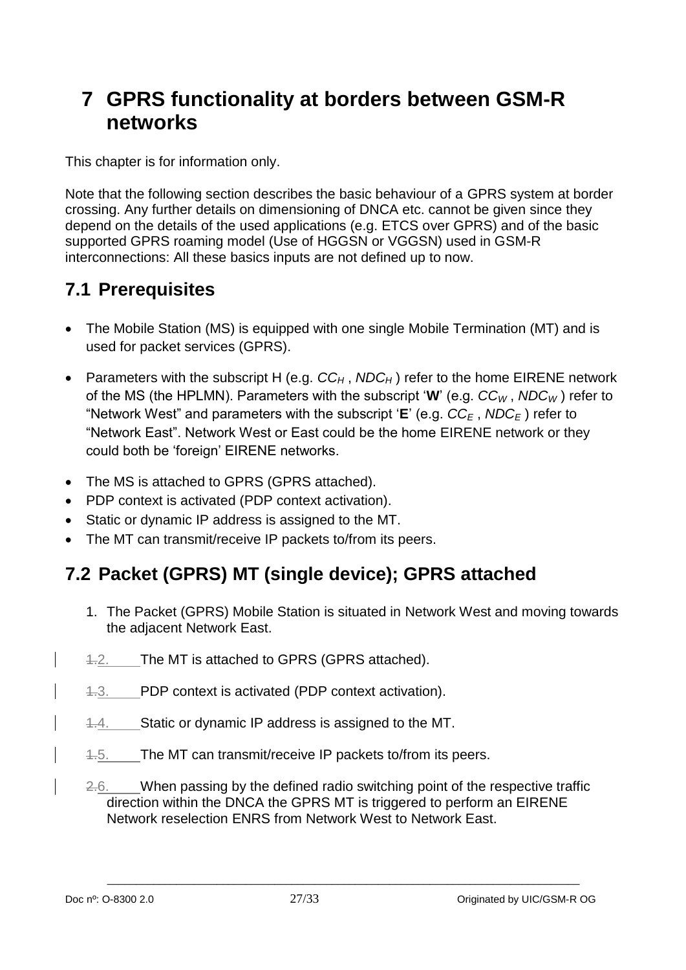## <span id="page-26-0"></span>**7 GPRS functionality at borders between GSM-R networks**

This chapter is for information only.

Note that the following section describes the basic behaviour of a GPRS system at border crossing. Any further details on dimensioning of DNCA etc. cannot be given since they depend on the details of the used applications (e.g. ETCS over GPRS) and of the basic supported GPRS roaming model (Use of HGGSN or VGGSN) used in GSM-R interconnections: All these basics inputs are not defined up to now.

## <span id="page-26-1"></span>**7.1 Prerequisites**

- The Mobile Station (MS) is equipped with one single Mobile Termination (MT) and is used for packet services (GPRS).
- Parameters with the subscript H (e.g.  $CC_H$ ,  $NDC_H$ ) refer to the home EIRENE network of the MS (the HPLMN). Parameters with the subscript '**W**' (e.g. *CC<sup>W</sup>* , *NDC<sup>W</sup>* ) refer to "Network West" and parameters with the subscript '**E**' (e.g. *CC<sup>E</sup>* , *NDC<sup>E</sup>* ) refer to "Network East". Network West or East could be the home EIRENE network or they could both be 'foreign' EIRENE networks.
- The MS is attached to GPRS (GPRS attached).
- PDP context is activated (PDP context activation).
- Static or dynamic IP address is assigned to the MT.
- The MT can transmit/receive IP packets to/from its peers.

## <span id="page-26-2"></span>**7.2 Packet (GPRS) MT (single device); GPRS attached**

- 1. The Packet (GPRS) Mobile Station is situated in Network West and moving towards the adjacent Network East.
- 1.2. The MT is attached to GPRS (GPRS attached).
- 1.3. PDP context is activated (PDP context activation).
- 1.4. Static or dynamic IP address is assigned to the MT.
- 4.5. The MT can transmit/receive IP packets to/from its peers.
- 2.6. When passing by the defined radio switching point of the respective traffic direction within the DNCA the GPRS MT is triggered to perform an EIRENE Network reselection ENRS from Network West to Network East.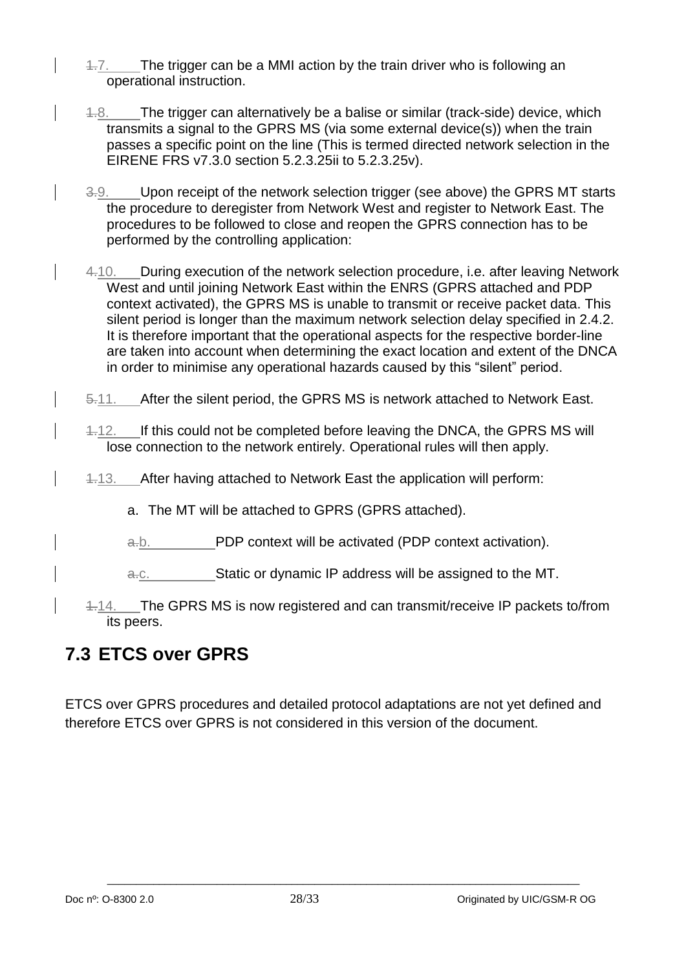- 1.7. The trigger can be a MMI action by the train driver who is following an operational instruction.
- 1.8. The trigger can alternatively be a balise or similar (track-side) device, which transmits a signal to the GPRS MS (via some external device(s)) when the train passes a specific point on the line (This is termed directed network selection in the EIRENE FRS v7.3.0 section 5.2.3.25ii to 5.2.3.25v).
- 3.9. Upon receipt of the network selection trigger (see above) the GPRS MT starts the procedure to deregister from Network West and register to Network East. The procedures to be followed to close and reopen the GPRS connection has to be performed by the controlling application:
- 4.10. During execution of the network selection procedure, i.e. after leaving Network West and until joining Network East within the ENRS (GPRS attached and PDP context activated), the GPRS MS is unable to transmit or receive packet data. This silent period is longer than the maximum network selection delay specified in 2.4.2. It is therefore important that the operational aspects for the respective border-line are taken into account when determining the exact location and extent of the DNCA in order to minimise any operational hazards caused by this "silent" period.
- 5.11. After the silent period, the GPRS MS is network attached to Network East.
- 1.12. If this could not be completed before leaving the DNCA, the GPRS MS will lose connection to the network entirely. Operational rules will then apply.
- 1.13. After having attached to Network East the application will perform:
	- a. The MT will be attached to GPRS (GPRS attached).
	- a.b. PDP context will be activated (PDP context activation).
	- a.c. Static or dynamic IP address will be assigned to the MT.
- 4.14. The GPRS MS is now registered and can transmit/receive IP packets to/from its peers.

### <span id="page-27-0"></span>**7.3 ETCS over GPRS**

ETCS over GPRS procedures and detailed protocol adaptations are not yet defined and therefore ETCS over GPRS is not considered in this version of the document.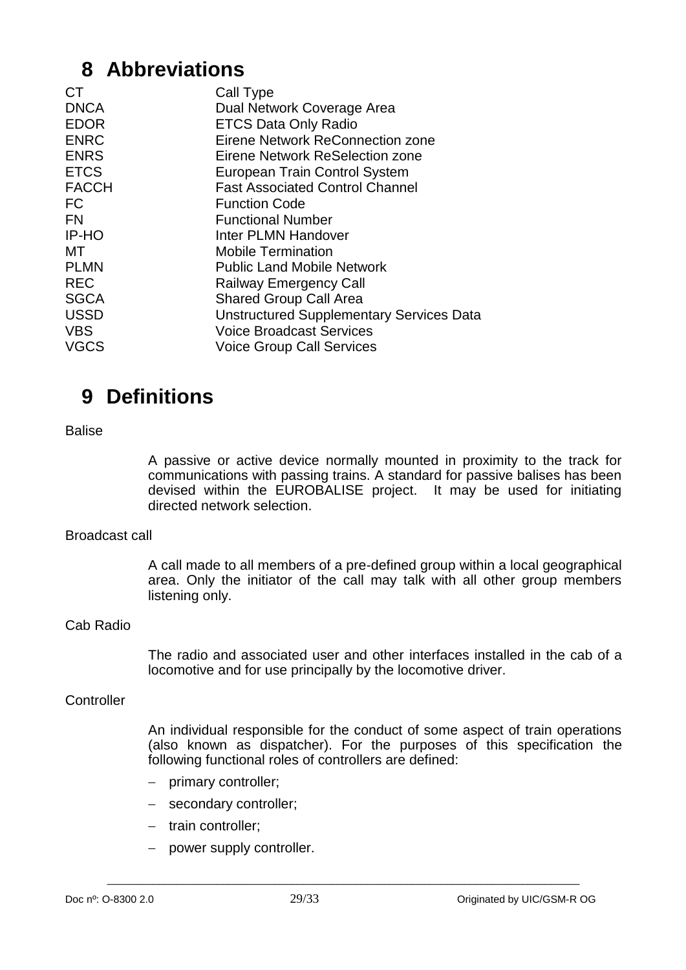## <span id="page-28-0"></span>**8 Abbreviations**

| CT.          | Call Type                                       |
|--------------|-------------------------------------------------|
| <b>DNCA</b>  | Dual Network Coverage Area                      |
| <b>EDOR</b>  | <b>ETCS Data Only Radio</b>                     |
| <b>ENRC</b>  | Eirene Network ReConnection zone                |
| <b>ENRS</b>  | Eirene Network ReSelection zone                 |
| <b>ETCS</b>  | European Train Control System                   |
| <b>FACCH</b> | <b>Fast Associated Control Channel</b>          |
| FC.          | <b>Function Code</b>                            |
| <b>FN</b>    | <b>Functional Number</b>                        |
| IP-HO        | Inter PLMN Handover                             |
| МT           | <b>Mobile Termination</b>                       |
| <b>PLMN</b>  | <b>Public Land Mobile Network</b>               |
| <b>REC</b>   | <b>Railway Emergency Call</b>                   |
| <b>SGCA</b>  | <b>Shared Group Call Area</b>                   |
| <b>USSD</b>  | <b>Unstructured Supplementary Services Data</b> |
| <b>VBS</b>   | <b>Voice Broadcast Services</b>                 |
| <b>VGCS</b>  | <b>Voice Group Call Services</b>                |

## <span id="page-28-1"></span>**9 Definitions**

### **Balise**

A passive or active device normally mounted in proximity to the track for communications with passing trains. A standard for passive balises has been devised within the EUROBALISE project. It may be used for initiating directed network selection.

### Broadcast call

A call made to all members of a pre-defined group within a local geographical area. Only the initiator of the call may talk with all other group members listening only.

### Cab Radio

The radio and associated user and other interfaces installed in the cab of a locomotive and for use principally by the locomotive driver.

### **Controller**

An individual responsible for the conduct of some aspect of train operations (also known as dispatcher). For the purposes of this specification the following functional roles of controllers are defined:

- primary controller;
- secondary controller:
- train controller;
- power supply controller.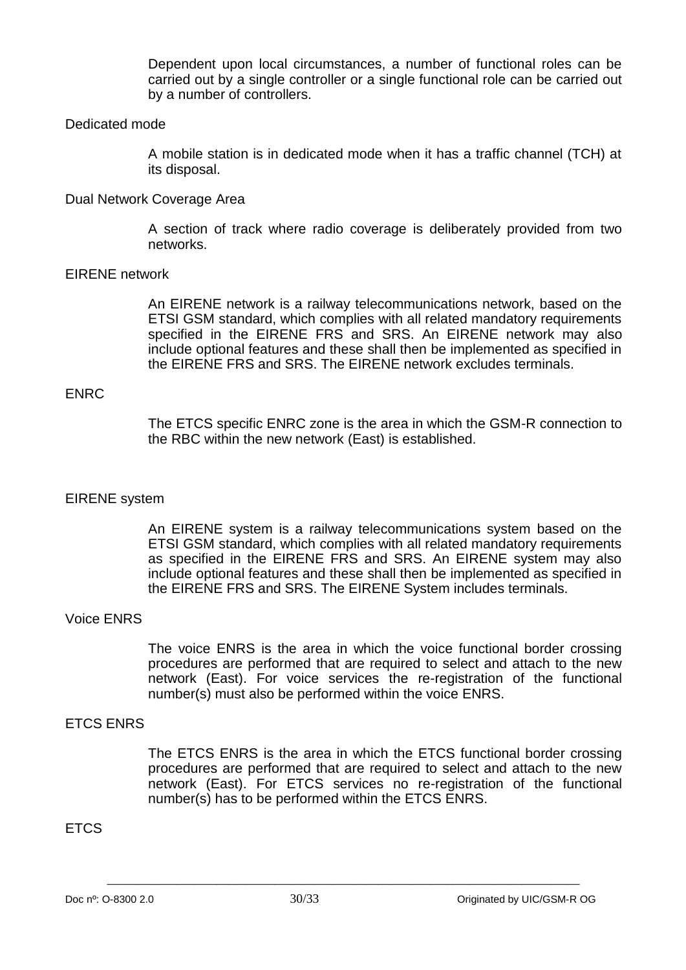Dependent upon local circumstances, a number of functional roles can be carried out by a single controller or a single functional role can be carried out by a number of controllers.

#### Dedicated mode

A mobile station is in dedicated mode when it has a traffic channel (TCH) at its disposal.

#### Dual Network Coverage Area

A section of track where radio coverage is deliberately provided from two networks.

#### EIRENE network

An EIRENE network is a railway telecommunications network, based on the ETSI GSM standard, which complies with all related mandatory requirements specified in the EIRENE FRS and SRS. An EIRENE network may also include optional features and these shall then be implemented as specified in the EIRENE FRS and SRS. The EIRENE network excludes terminals.

#### ENRC

The ETCS specific ENRC zone is the area in which the GSM-R connection to the RBC within the new network (East) is established.

### EIRENE system

An EIRENE system is a railway telecommunications system based on the ETSI GSM standard, which complies with all related mandatory requirements as specified in the EIRENE FRS and SRS. An EIRENE system may also include optional features and these shall then be implemented as specified in the EIRENE FRS and SRS. The EIRENE System includes terminals.

### Voice ENRS

The voice ENRS is the area in which the voice functional border crossing procedures are performed that are required to select and attach to the new network (East). For voice services the re-registration of the functional number(s) must also be performed within the voice ENRS.

### ETCS ENRS

The ETCS ENRS is the area in which the ETCS functional border crossing procedures are performed that are required to select and attach to the new network (East). For ETCS services no re-registration of the functional number(s) has to be performed within the ETCS ENRS.

**ETCS**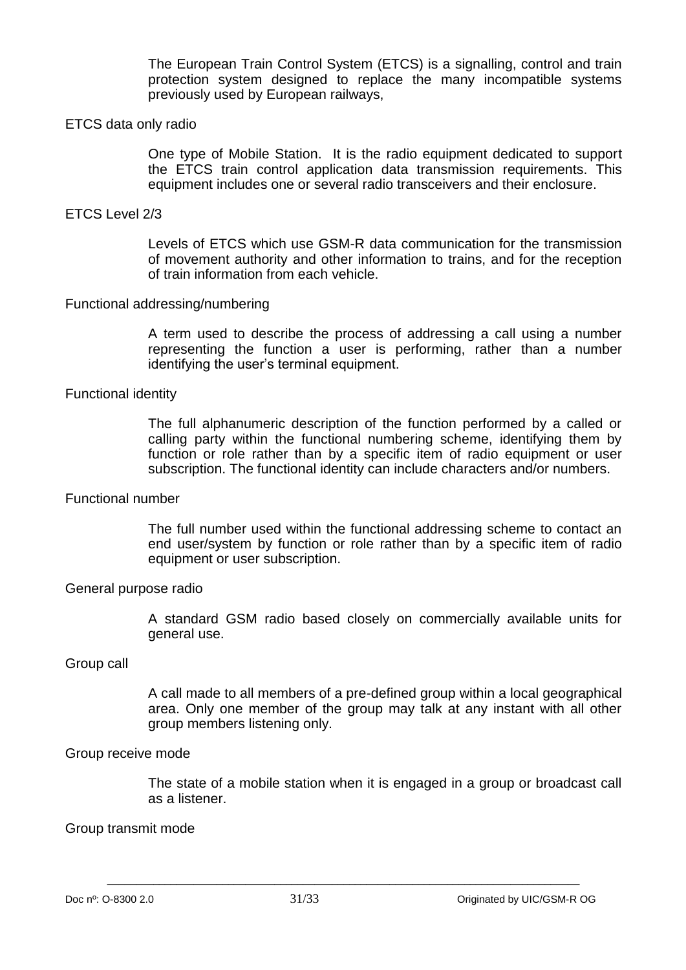The European Train Control System (ETCS) is a signalling, control and train protection system designed to replace the many incompatible systems previously used by European railways,

#### ETCS data only radio

One type of Mobile Station. It is the radio equipment dedicated to support the ETCS train control application data transmission requirements. This equipment includes one or several radio transceivers and their enclosure.

#### ETCS Level 2/3

Levels of ETCS which use GSM-R data communication for the transmission of movement authority and other information to trains, and for the reception of train information from each vehicle.

#### Functional addressing/numbering

A term used to describe the process of addressing a call using a number representing the function a user is performing, rather than a number identifying the user's terminal equipment.

#### Functional identity

The full alphanumeric description of the function performed by a called or calling party within the functional numbering scheme, identifying them by function or role rather than by a specific item of radio equipment or user subscription. The functional identity can include characters and/or numbers.

#### Functional number

The full number used within the functional addressing scheme to contact an end user/system by function or role rather than by a specific item of radio equipment or user subscription.

#### General purpose radio

A standard GSM radio based closely on commercially available units for general use.

#### Group call

A call made to all members of a pre-defined group within a local geographical area. Only one member of the group may talk at any instant with all other group members listening only.

#### Group receive mode

The state of a mobile station when it is engaged in a group or broadcast call as a listener.

#### Group transmit mode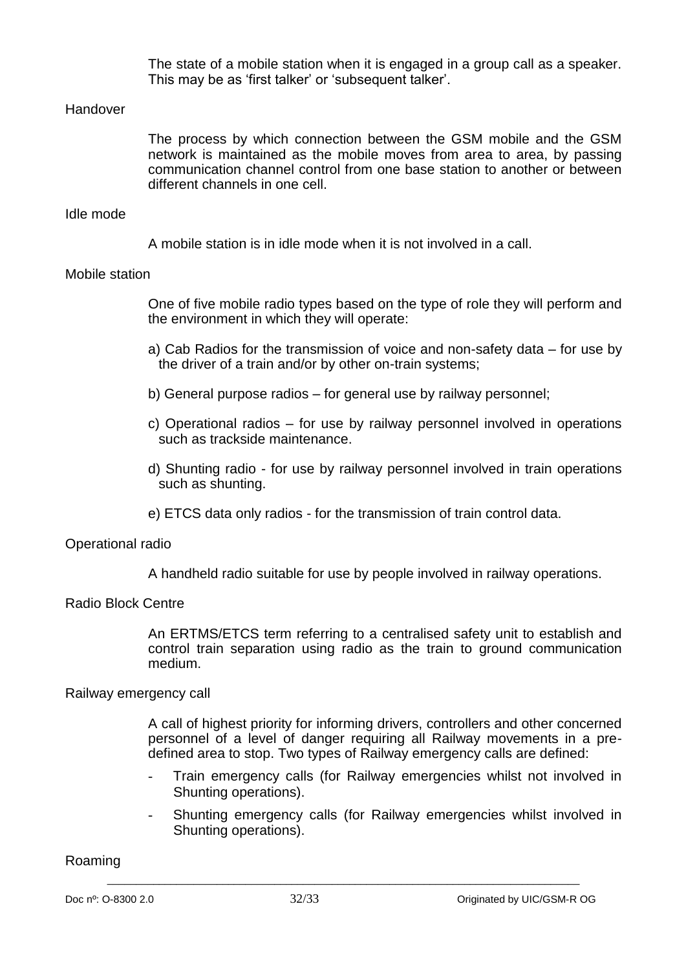The state of a mobile station when it is engaged in a group call as a speaker. This may be as 'first talker' or 'subsequent talker'.

#### Handover

The process by which connection between the GSM mobile and the GSM network is maintained as the mobile moves from area to area, by passing communication channel control from one base station to another or between different channels in one cell.

#### Idle mode

A mobile station is in idle mode when it is not involved in a call.

#### Mobile station

One of five mobile radio types based on the type of role they will perform and the environment in which they will operate:

- a) Cab Radios for the transmission of voice and non-safety data for use by the driver of a train and/or by other on-train systems;
- b) General purpose radios for general use by railway personnel;
- c) Operational radios for use by railway personnel involved in operations such as trackside maintenance.
- d) Shunting radio for use by railway personnel involved in train operations such as shunting.
- e) ETCS data only radios for the transmission of train control data.

#### Operational radio

A handheld radio suitable for use by people involved in railway operations.

#### Radio Block Centre

An ERTMS/ETCS term referring to a centralised safety unit to establish and control train separation using radio as the train to ground communication medium.

#### Railway emergency call

A call of highest priority for informing drivers, controllers and other concerned personnel of a level of danger requiring all Railway movements in a predefined area to stop. Two types of Railway emergency calls are defined:

- Train emergency calls (for Railway emergencies whilst not involved in Shunting operations).
- Shunting emergency calls (for Railway emergencies whilst involved in Shunting operations).

#### Roaming